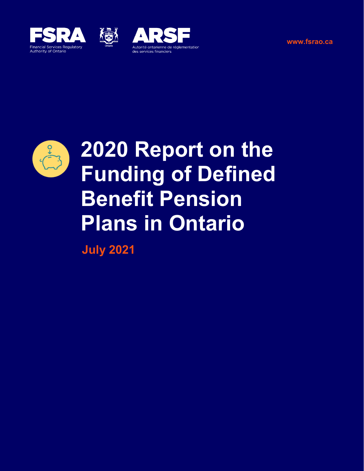





**[www.fsrao.ca](http://www.fsrao.ca)**



# **2020 Report on the Funding of Defined Benefit Pension Plans in Ontario**

**July 2021**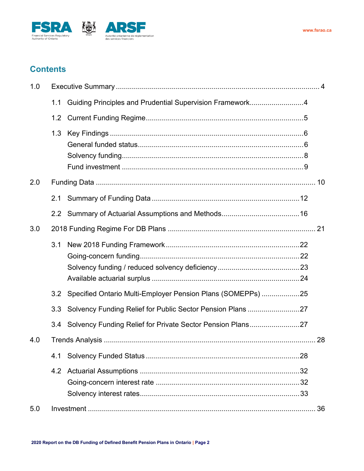



# **Contents**

| 1.0 |     |                                                                |  |  |  |  |
|-----|-----|----------------------------------------------------------------|--|--|--|--|
|     | 1.1 | Guiding Principles and Prudential Supervision Framework4       |  |  |  |  |
|     | 1.2 |                                                                |  |  |  |  |
|     | 1.3 |                                                                |  |  |  |  |
| 2.0 |     |                                                                |  |  |  |  |
|     | 2.1 |                                                                |  |  |  |  |
|     |     |                                                                |  |  |  |  |
| 3.0 |     |                                                                |  |  |  |  |
|     |     |                                                                |  |  |  |  |
|     | 3.2 | Specified Ontario Multi-Employer Pension Plans (SOMEPPs) 25    |  |  |  |  |
|     | 3.3 | Solvency Funding Relief for Public Sector Pension Plans 27     |  |  |  |  |
|     |     | 3.4 Solvency Funding Relief for Private Sector Pension Plans27 |  |  |  |  |
| 4.0 |     |                                                                |  |  |  |  |
|     | 4.1 |                                                                |  |  |  |  |
|     |     |                                                                |  |  |  |  |
| 5.0 |     |                                                                |  |  |  |  |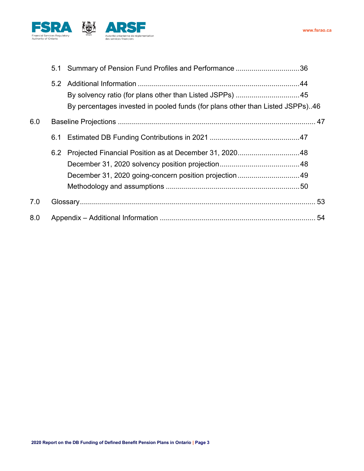

|     | 5.1 | Summary of Pension Fund Profiles and Performance 36                                                                                       |    |
|-----|-----|-------------------------------------------------------------------------------------------------------------------------------------------|----|
|     |     | By solvency ratio (for plans other than Listed JSPPs) 45<br>By percentages invested in pooled funds (for plans other than Listed JSPPs)46 |    |
| 6.0 |     |                                                                                                                                           |    |
|     | 6.1 |                                                                                                                                           |    |
|     | 6.2 | December 31, 2020 going-concern position projection  49                                                                                   |    |
| 7.0 |     |                                                                                                                                           |    |
| 8.0 |     |                                                                                                                                           | 54 |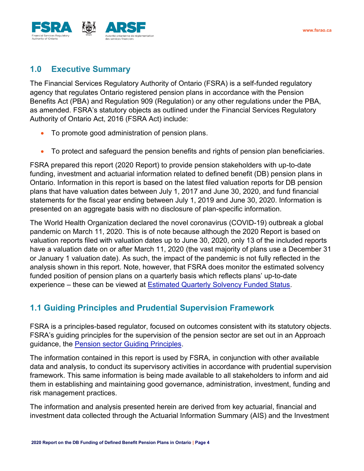

# <span id="page-3-0"></span>**1.0 Executive Summary**

The Financial Services Regulatory Authority of Ontario (FSRA) is a self-funded regulatory agency that regulates Ontario registered pension plans in accordance with the Pension Benefits Act (PBA) and Regulation 909 (Regulation) or any other regulations under the PBA, as amended. FSRA's statutory objects as outlined under the Financial Services Regulatory Authority of Ontario Act, 2016 (FSRA Act) include:

- To promote good administration of pension plans.
- To protect and safeguard the pension benefits and rights of pension plan beneficiaries.

FSRA prepared this report (2020 Report) to provide pension stakeholders with up-to-date funding, investment and actuarial information related to defined benefit (DB) pension plans in Ontario. Information in this report is based on the latest filed valuation reports for DB pension plans that have valuation dates between July 1, 2017 and June 30, 2020, and fund financial statements for the fiscal year ending between July 1, 2019 and June 30, 2020. Information is presented on an aggregate basis with no disclosure of plan-specific information.

The World Health Organization declared the novel coronavirus (COVID-19) outbreak a global pandemic on March 11, 2020. This is of note because although the 2020 Report is based on valuation reports filed with valuation dates up to June 30, 2020, only 13 of the included reports have a valuation date on or after March 11, 2020 (the vast majority of plans use a December 31 or January 1 valuation date). As such, the impact of the pandemic is not fully reflected in the analysis shown in this report. Note, however, that FSRA does monitor the estimated solvency funded position of pension plans on a quarterly basis which reflects plans' up-to-date experience – these can be viewed at [Estimated Quarterly Solvency Funded Status.](https://www.fsrao.ca/industry/pension-sector/quarterly-update-estimated-solvency-funded-status-defined-benefit-plans-ontario)

# <span id="page-3-1"></span>**1.1 Guiding Principles and Prudential Supervision Framework**

FSRA is a principles-based regulator, focused on outcomes consistent with its statutory objects. FSRA's guiding principles for the supervision of the pension sector are set out in an Approach guidance, the [Pension sector Guiding Principles.](https://www.fsrao.ca/industry/pensions/regulatory-framework/guidance/pension-sector-guiding-principles)

The information contained in this report is used by FSRA, in conjunction with other available data and analysis, to conduct its supervisory activities in accordance with prudential supervision framework. This same information is being made available to all stakeholders to inform and aid them in establishing and maintaining good governance, administration, investment, funding and risk management practices.

The information and analysis presented herein are derived from key actuarial, financial and investment data collected through the Actuarial Information Summary (AIS) and the Investment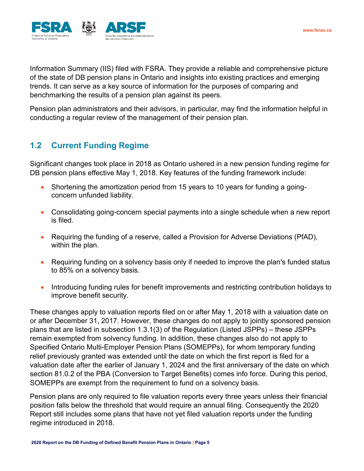

Information Summary (IIS) filed with FSRA. They provide a reliable and comprehensive picture of the state of DB pension plans in Ontario and insights into existing practices and emerging trends. It can serve as a key source of information for the purposes of comparing and benchmarking the results of a pension plan against its peers.

Pension plan administrators and their advisors, in particular, may find the information helpful in conducting a regular review of the management of their pension plan.

# <span id="page-4-0"></span>**1.2 Current Funding Regime**

Significant changes took place in 2018 as Ontario ushered in a new pension funding regime for DB pension plans effective May 1, 2018. Key features of the funding framework include:

- Shortening the amortization period from 15 years to 10 years for funding a goingconcern unfunded liability.
- Consolidating going-concern special payments into a single schedule when a new report is filed.
- Requiring the funding of a reserve, called a Provision for Adverse Deviations (PfAD), within the plan.
- Requiring funding on a solvency basis only if needed to improve the plan's funded status to 85% on a solvency basis.
- Introducing funding rules for benefit improvements and restricting contribution holidays to improve benefit security.

These changes apply to valuation reports filed on or after May 1, 2018 with a valuation date on or after December 31, 2017. However, these changes do not apply to jointly sponsored pension plans that are listed in subsection 1.3.1(3) of the Regulation (Listed JSPPs) – these JSPPs remain exempted from solvency funding. In addition, these changes also do not apply to Specified Ontario Multi-Employer Pension Plans (SOMEPPs), for whom temporary funding relief previously granted was extended until the date on which the first report is filed for a valuation date after the earlier of January 1, 2024 and the first anniversary of the date on which section 81.0.2 of the PBA (Conversion to Target Benefits) comes info force. During this period, SOMEPPs are exempt from the requirement to fund on a solvency basis.

Pension plans are only required to file valuation reports every three years unless their financial position falls below the threshold that would require an annual filing. Consequently the 2020 Report still includes some plans that have not yet filed valuation reports under the funding regime introduced in 2018.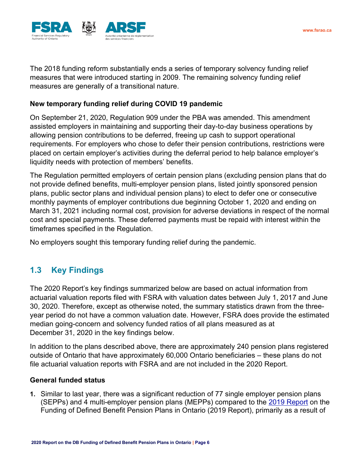

The 2018 funding reform substantially ends a series of temporary solvency funding relief measures that were introduced starting in 2009. The remaining solvency funding relief measures are generally of a transitional nature.

#### **New temporary funding relief during COVID 19 pandemic**

On September 21, 2020, Regulation 909 under the PBA was amended. This amendment assisted employers in maintaining and supporting their day-to-day business operations by allowing pension contributions to be deferred, freeing up cash to support operational requirements. For employers who chose to defer their pension contributions, restrictions were placed on certain employer's activities during the deferral period to help balance employer's liquidity needs with protection of members' benefits.

The Regulation permitted employers of certain pension plans (excluding pension plans that do not provide defined benefits, multi-employer pension plans, listed jointly sponsored pension plans, public sector plans and individual pension plans) to elect to defer one or consecutive monthly payments of employer contributions due beginning October 1, 2020 and ending on March 31, 2021 including normal cost, provision for adverse deviations in respect of the normal cost and special payments. These deferred payments must be repaid with interest within the timeframes specified in the Regulation.

No employers sought this temporary funding relief during the pandemic.

# <span id="page-5-0"></span>**1.3 Key Findings**

The 2020 Report's key findings summarized below are based on actual information from actuarial valuation reports filed with FSRA with valuation dates between July 1, 2017 and June 30, 2020. Therefore, except as otherwise noted, the summary statistics drawn from the threeyear period do not have a common valuation date. However, FSRA does provide the estimated median going-concern and solvency funded ratios of all plans measured as at December 31, 2020 in the key findings below.

In addition to the plans described above, there are approximately 240 pension plans registered outside of Ontario that have approximately 60,000 Ontario beneficiaries – these plans do not file actuarial valuation reports with FSRA and are not included in the 2020 Report.

#### <span id="page-5-1"></span>**General funded status**

**1.** Similar to last year, there was a significant reduction of 77 single employer pension plans (SEPPs) and 4 multi-employer pension plans (MEPPs) compared to the 2019 [Report](https://www.fsrao.ca/media/2341/download) on the Funding of Defined Benefit Pension Plans in Ontario (2019 [Report\)](http://www.fsco.gov.on.ca/en/pensions/actuarial/Documents/2018DBFundingReport.pdf), primarily as a result of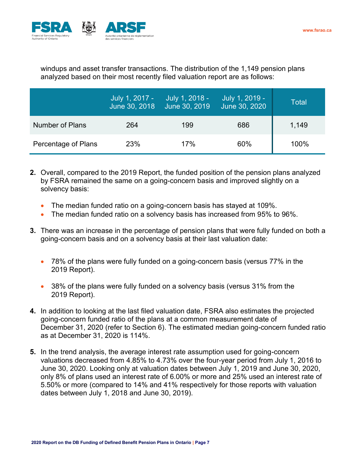

windups and asset transfer transactions. The distribution of the 1,149 pension plans analyzed based on their most recently filed valuation report are as follows:

|                        | July 1, 2017 -<br>June 30, 2018 | July 1, 2018 -<br>June 30, 2019 | July 1, 2019 -<br>June 30, 2020 | Total |
|------------------------|---------------------------------|---------------------------------|---------------------------------|-------|
| <b>Number of Plans</b> | 264                             | 199                             | 686                             | 1,149 |
| Percentage of Plans    | 23%                             | 17%                             | 60%                             | 100%  |

- **2.** Overall, compared to the 2019 Report, the funded position of the pension plans analyzed by FSRA remained the same on a going-concern basis and improved slightly on a solvency basis:
	- The median funded ratio on a going-concern basis has stayed at 109%.
	- The median funded ratio on a solvency basis has increased from 95% to 96%.
- **3.** There was an increase in the percentage of pension plans that were fully funded on both a going-concern basis and on a solvency basis at their last valuation date:
	- 78% of the plans were fully funded on a going-concern basis (versus 77% in the 2019 Report).
	- 38% of the plans were fully funded on a solvency basis (versus 31% from the 2019 Report).
- **4.** In addition to looking at the last filed valuation date, FSRA also estimates the projected going-concern funded ratio of the plans at a common measurement date of December 31, 2020 (refer to Section 6). The estimated median going-concern funded ratio as at December 31, 2020 is 114%.
- **5.** In the trend analysis, the average interest rate assumption used for going-concern valuations decreased from 4.85% to 4.73% over the four-year period from July 1, 2016 to June 30, 2020. Looking only at valuation dates between July 1, 2019 and June 30, 2020, only 8% of plans used an interest rate of 6.00% or more and 25% used an interest rate of 5.50% or more (compared to 14% and 41% respectively for those reports with valuation dates between July 1, 2018 and June 30, 2019).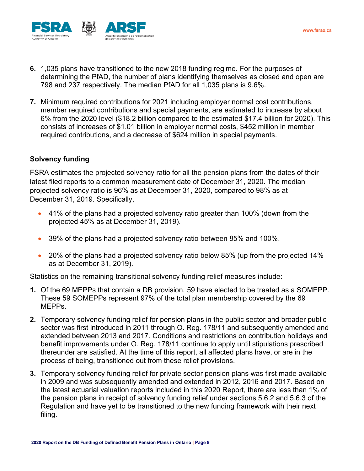

- **6.** 1,035 plans have transitioned to the new 2018 funding regime. For the purposes of determining the PfAD, the number of plans identifying themselves as closed and open are 798 and 237 respectively. The median PfAD for all 1,035 plans is 9.6%.
- **7.** Minimum required contributions for 2021 including employer normal cost contributions, member required contributions and special payments, are estimated to increase by about 6% from the 2020 level (\$18.2 billion compared to the estimated \$17.4 billion for 2020). This consists of increases of \$1.01 billion in employer normal costs, \$452 million in member required contributions, and a decrease of \$624 million in special payments.

#### <span id="page-7-0"></span>**Solvency funding**

FSRA estimates the projected solvency ratio for all the pension plans from the dates of their latest filed reports to a common measurement date of December 31, 2020. The median projected solvency ratio is 96% as at December 31, 2020, compared to 98% as at December 31, 2019. Specifically,

- 41% of the plans had a projected solvency ratio greater than 100% (down from the projected 45% as at December 31, 2019).
- 39% of the plans had a projected solvency ratio between 85% and 100%.
- 20% of the plans had a projected solvency ratio below 85% (up from the projected 14% as at December 31, 2019).

Statistics on the remaining transitional solvency funding relief measures include:

- **1.** Of the 69 MEPPs that contain a DB provision, 59 have elected to be treated as a SOMEPP. These 59 SOMEPPs represent 97% of the total plan membership covered by the 69 MEPPs.
- **2.** Temporary solvency funding relief for pension plans in the public sector and broader public sector was first introduced in 2011 through O. Reg. 178/11 and subsequently amended and extended between 2013 and 2017. Conditions and restrictions on contribution holidays and benefit improvements under O. Reg. 178/11 continue to apply until stipulations prescribed thereunder are satisfied. At the time of this report, all affected plans have, or are in the process of being, transitioned out from these relief provisions.
- **3.** Temporary solvency funding relief for private sector pension plans was first made available in 2009 and was subsequently amended and extended in 2012, 2016 and 2017. Based on the latest actuarial valuation reports included in this 2020 Report, there are less than 1% of the pension plans in receipt of solvency funding relief under sections 5.6.2 and 5.6.3 of the Regulation and have yet to be transitioned to the new funding framework with their next filing.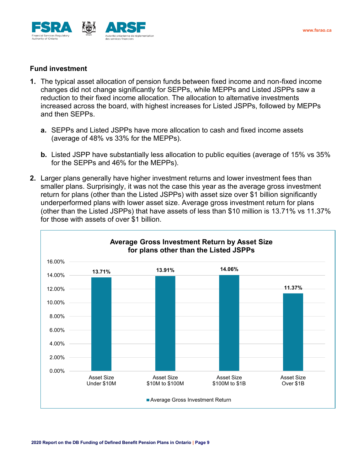

#### **Fund investment**

- **1.** The typical asset allocation of pension funds between fixed income and non-fixed income changes did not change significantly for SEPPs, while MEPPs and Listed JSPPs saw a reduction to their fixed income allocation. The allocation to alternative investments increased across the board, with highest increases for Listed JSPPs, followed by MEPPs and then SEPPs.
	- **a.** SEPPs and Listed JSPPs have more allocation to cash and fixed income assets (average of 48% vs 33% for the MEPPs).
	- **b.** Listed JSPP have substantially less allocation to public equities (average of 15% vs 35% for the SEPPs and 46% for the MEPPs).
- **2.** Larger plans generally have higher investment returns and lower investment fees than smaller plans. Surprisingly, it was not the case this year as the average gross investment return for plans (other than the Listed JSPPs) with asset size over \$1 billion significantly underperformed plans with lower asset size. Average gross investment return for plans (other than the Listed JSPPs) that have assets of less than \$10 million is 13.71% vs 11.37% for those with assets of over \$1 billion.

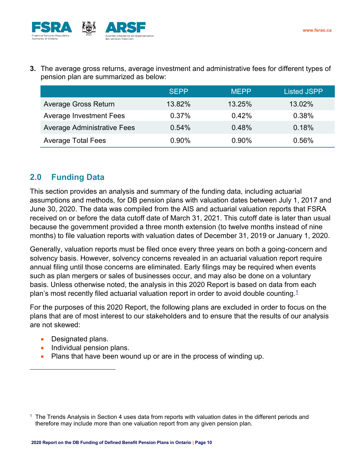

**3.** The average gross returns, average investment and administrative fees for different types of pension plan are summarized as below:

|                                    | <b>SEPP</b> | <b>MEPP</b> | <b>Listed JSPP</b> |
|------------------------------------|-------------|-------------|--------------------|
| <b>Average Gross Return</b>        | 13.82%      | 13.25%      | 13.02%             |
| Average Investment Fees            | 0.37%       | 0.42%       | 0.38%              |
| <b>Average Administrative Fees</b> | 0.54%       | 0.48%       | 0.18%              |
| <b>Average Total Fees</b>          | $0.90\%$    | $0.90\%$    | 0.56%              |

# <span id="page-9-0"></span>**2.0 Funding Data**

This section provides an analysis and summary of the funding data, including actuarial assumptions and methods, for DB pension plans with valuation dates between July 1, 2017 and June 30, 2020. The data was compiled from the AIS and actuarial valuation reports that FSRA received on or before the data cutoff date of March 31, 2021. This cutoff date is later than usual because the government provided a three month extension (to twelve months instead of nine months) to file valuation reports with valuation dates of December 31, 2019 or January 1, 2020.

Generally, valuation reports must be filed once every three years on both a going-concern and solvency basis. However, solvency concerns revealed in an actuarial valuation report require annual filing until those concerns are eliminated. Early filings may be required when events such as plan mergers or sales of businesses occur, and may also be done on a voluntary basis. Unless otherwise noted, the analysis in this 2020 Report is based on data from each plan's most recently filed actuarial valuation report in order to avoid double counting. $1$ 

For the purposes of this 2020 Report, the following plans are excluded in order to focus on the plans that are of most interest to our stakeholders and to ensure that the results of our analysis are not skewed:

- Designated plans.
- Individual pension plans.
- Plans that have been wound up or are in the process of winding up.

 $1$  The Trends Analysis in Section 4 uses data from reports with valuation dates in the different periods and therefore may include more than one valuation report from any given pension plan.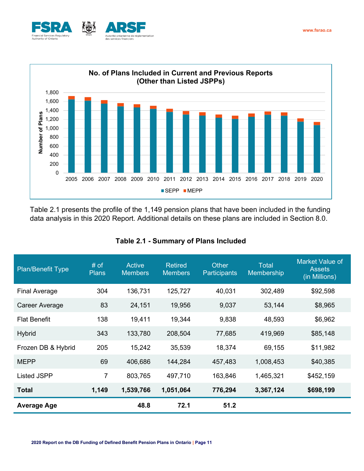



Table 2.1 presents the profile of the 1,149 pension plans that have been included in the funding data analysis in this 2020 Report. Additional details on these plans are included in Section 8.0.

| <b>Plan/Benefit Type</b> | # of<br><b>Plans</b> | <b>Active</b><br><b>Members</b> | <b>Retired</b><br><b>Members</b> | <b>Other</b><br><b>Participants</b> | <b>Total</b><br>Membership | Market Value of<br><b>Assets</b><br>(in Millions) |
|--------------------------|----------------------|---------------------------------|----------------------------------|-------------------------------------|----------------------------|---------------------------------------------------|
| <b>Final Average</b>     | 304                  | 136,731                         | 125,727                          | 40,031                              | 302,489                    | \$92,598                                          |
| Career Average           | 83                   | 24,151                          | 19,956                           | 9,037                               | 53,144                     | \$8,965                                           |
| <b>Flat Benefit</b>      | 138                  | 19,411                          | 19,344                           | 9,838                               | 48,593                     | \$6,962                                           |
| <b>Hybrid</b>            | 343                  | 133,780                         | 208,504                          | 77,685                              | 419,969                    | \$85,148                                          |
| Frozen DB & Hybrid       | 205                  | 15,242                          | 35,539                           | 18,374                              | 69,155                     | \$11,982                                          |
| <b>MEPP</b>              | 69                   | 406,686                         | 144,284                          | 457,483                             | 1,008,453                  | \$40,385                                          |
| <b>Listed JSPP</b>       | $\overline{7}$       | 803,765                         | 497,710                          | 163,846                             | 1,465,321                  | \$452,159                                         |
| <b>Total</b>             | 1,149                | 1,539,766                       | 1,051,064                        | 776,294                             | 3,367,124                  | \$698,199                                         |
| <b>Average Age</b>       |                      | 48.8                            | 72.1                             | 51.2                                |                            |                                                   |

#### **Table 2.1 - Summary of Plans Included**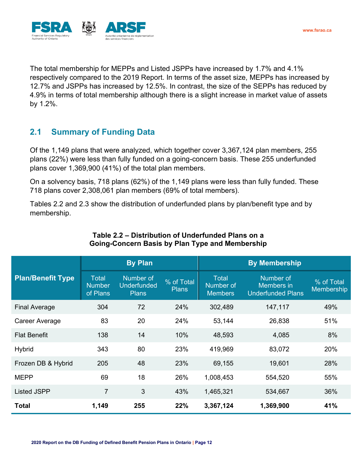

The total membership for MEPPs and Listed JSPPs have increased by 1.7% and 4.1% respectively compared to the 2019 Report. In terms of the asset size, MEPPs has increased by 12.7% and JSPPs has increased by 12.5%. In contrast, the size of the SEPPs has reduced by 4.9% in terms of total membership although there is a slight increase in market value of assets by 1.2%.

# <span id="page-11-0"></span>**2.1 Summary of Funding Data**

Of the 1,149 plans that were analyzed, which together cover 3,367,124 plan members, 255 plans (22%) were less than fully funded on a going-concern basis. These 255 underfunded plans cover 1,369,900 (41%) of the total plan members.

On a solvency basis, 718 plans (62%) of the 1,149 plans were less than fully funded. These 718 plans cover 2,308,061 plan members (69% of total members).

Tables 2.2 and 2.3 show the distribution of underfunded plans by plan/benefit type and by membership.

|                          |                                           | <b>By Plan</b>                                  |                            | <b>By Membership</b>                        |                                                     |                          |  |
|--------------------------|-------------------------------------------|-------------------------------------------------|----------------------------|---------------------------------------------|-----------------------------------------------------|--------------------------|--|
| <b>Plan/Benefit Type</b> | <b>Total</b><br><b>Number</b><br>of Plans | Number of<br><b>Underfunded</b><br><b>Plans</b> | % of Total<br><b>Plans</b> | <b>Total</b><br>Number of<br><b>Members</b> | Number of<br>Members in<br><b>Underfunded Plans</b> | % of Total<br>Membership |  |
| <b>Final Average</b>     | 304                                       | 72                                              | 24%                        | 302,489                                     | 147,117                                             | 49%                      |  |
| Career Average           | 83                                        | 20                                              | 24%                        | 53,144                                      | 26,838                                              | 51%                      |  |
| <b>Flat Benefit</b>      | 138                                       | 14                                              | 10%                        | 48,593                                      | 4,085                                               | 8%                       |  |
| <b>Hybrid</b>            | 343                                       | 80                                              | 23%                        | 419,969                                     | 83,072                                              | 20%                      |  |
| Frozen DB & Hybrid       | 205                                       | 48                                              | 23%                        | 69,155                                      | 19,601                                              | 28%                      |  |
| <b>MEPP</b>              | 69                                        | 18                                              | 26%                        | 1,008,453                                   | 554,520                                             | 55%                      |  |
| <b>Listed JSPP</b>       | $\overline{7}$                            | 3                                               | 43%                        | 1,465,321                                   | 534,667                                             | 36%                      |  |
| Total                    | 1,149                                     | 255                                             | 22%                        | 3,367,124                                   | 1,369,900                                           | 41%                      |  |

#### **Table 2.2 – Distribution of Underfunded Plans on a Going-Concern Basis by Plan Type and Membership**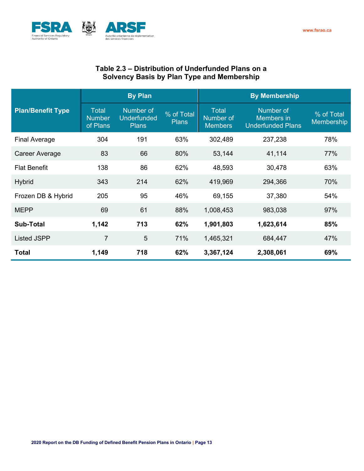

## **Table 2.3 – Distribution of Underfunded Plans on a Solvency Basis by Plan Type and Membership**

|                          |                                           | <b>By Plan</b>                                  |                            | <b>By Membership</b>                        |                                                     |                                 |  |
|--------------------------|-------------------------------------------|-------------------------------------------------|----------------------------|---------------------------------------------|-----------------------------------------------------|---------------------------------|--|
| <b>Plan/Benefit Type</b> | <b>Total</b><br><b>Number</b><br>of Plans | Number of<br><b>Underfunded</b><br><b>Plans</b> | % of Total<br><b>Plans</b> | <b>Total</b><br>Number of<br><b>Members</b> | Number of<br>Members in<br><b>Underfunded Plans</b> | % of Total<br><b>Membership</b> |  |
| <b>Final Average</b>     | 304                                       | 191                                             | 63%                        | 302,489                                     | 237,238                                             | 78%                             |  |
| Career Average           | 83                                        | 66                                              | 80%                        | 53,144                                      | 41,114                                              | 77%                             |  |
| <b>Flat Benefit</b>      | 138                                       | 86                                              | 62%                        | 48,593                                      | 30,478                                              | 63%                             |  |
| <b>Hybrid</b>            | 343                                       | 214                                             | 62%                        | 419,969                                     | 294,366                                             | 70%                             |  |
| Frozen DB & Hybrid       | 205                                       | 95                                              | 46%                        | 69,155                                      | 37,380                                              | 54%                             |  |
| <b>MEPP</b>              | 69                                        | 61                                              | 88%                        | 1,008,453                                   | 983,038                                             | 97%                             |  |
| <b>Sub-Total</b>         | 1,142                                     | 713                                             | 62%                        | 1,901,803                                   | 1,623,614                                           | 85%                             |  |
| <b>Listed JSPP</b>       | $\overline{7}$                            | 5                                               | 71%                        | 1,465,321                                   | 684,447                                             | 47%                             |  |
| <b>Total</b>             | 1,149                                     | 718                                             | 62%                        | 3,367,124                                   | 2,308,061                                           | 69%                             |  |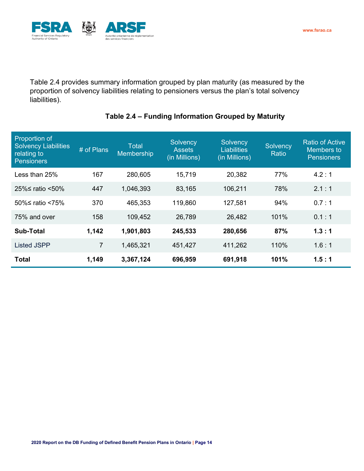

Table 2.4 provides summary information grouped by plan maturity (as measured by the proportion of solvency liabilities relating to pensioners versus the plan's total solvency liabilities).

| <b>Proportion of</b><br><b>Solvency Liabilities</b><br>relating to<br><b>Pensioners</b> | # of Plans     | <b>Total</b><br>Membership | Solvency<br><b>Assets</b><br>(in Millions) | Solvency<br><b>Liabilities</b><br>(in Millions) | Solvency<br>Ratio | <b>Ratio of Active</b><br><b>Members to</b><br><b>Pensioners</b> |
|-----------------------------------------------------------------------------------------|----------------|----------------------------|--------------------------------------------|-------------------------------------------------|-------------------|------------------------------------------------------------------|
| Less than 25%                                                                           | 167            | 280,605                    | 15,719                                     | 20,382                                          | 77%               | 4.2:1                                                            |
| 25%≤ ratio <50%                                                                         | 447            | 1,046,393                  | 83,165                                     | 106,211                                         | 78%               | 2.1:1                                                            |
| 50%≤ ratio <75%                                                                         | 370            | 465,353                    | 119,860                                    | 127,581                                         | 94%               | 0.7:1                                                            |
| 75% and over                                                                            | 158            | 109,452                    | 26,789                                     | 26,482                                          | 101%              | 0.1:1                                                            |
| <b>Sub-Total</b>                                                                        | 1,142          | 1,901,803                  | 245,533                                    | 280,656                                         | 87%               | 1.3:1                                                            |
| <b>Listed JSPP</b>                                                                      | $\overline{7}$ | 1,465,321                  | 451,427                                    | 411,262                                         | 110%              | 1.6:1                                                            |
| <b>Total</b>                                                                            | 1,149          | 3,367,124                  | 696,959                                    | 691,918                                         | 101%              | 1.5:1                                                            |

## **Table 2.4 – Funding Information Grouped by Maturity**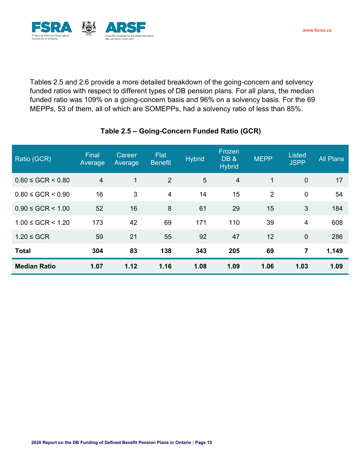



Tables 2.5 and 2.6 provide a more detailed breakdown of the going-concern and solvency funded ratios with respect to different types of DB pension plans. For all plans, the median funded ratio was 109% on a going-concern basis and 96% on a solvency basis. For the 69 MEPPs, 53 of them, all of which are SOMEPPs, had a solvency ratio of less than 85%.

| Ratio (GCR)             | Final<br>Average | Career<br>Average | <b>Flat</b><br><b>Benefit</b> | <b>Hybrid</b>  | Frozen<br><b>DB&amp;</b><br><b>Hybrid</b> | <b>MEPP</b>    | <b>Listed</b><br><b>JSPP</b> | <b>All Plans</b> |
|-------------------------|------------------|-------------------|-------------------------------|----------------|-------------------------------------------|----------------|------------------------------|------------------|
| $0.60 \le GCR \le 0.80$ | $\overline{4}$   | 1                 | 2                             | $5\phantom{1}$ | $\overline{4}$                            | $\mathbf{1}$   | $\mathbf 0$                  | 17               |
| $0.80 \le GCR \le 0.90$ | 16               | 3                 | $\overline{4}$                | 14             | 15                                        | $\overline{2}$ | $\mathbf 0$                  | 54               |
| $0.90 \le GCR \le 1.00$ | 52               | 16                | 8                             | 61             | 29                                        | 15             | 3                            | 184              |
| $1.00 \le GCR \le 1.20$ | 173              | 42                | 69                            | 171            | 110                                       | 39             | 4                            | 608              |
| $1.20 \le GCR$          | 59               | 21                | 55                            | 92             | 47                                        | 12             | $\mathbf 0$                  | 286              |
| <b>Total</b>            | 304              | 83                | 138                           | 343            | 205                                       | 69             | 7                            | 1,149            |
| <b>Median Ratio</b>     | 1.07             | 1.12              | 1.16                          | 1.08           | 1.09                                      | 1.06           | 1.03                         | 1.09             |

## **Table 2.5 – Going-Concern Funded Ratio (GCR)**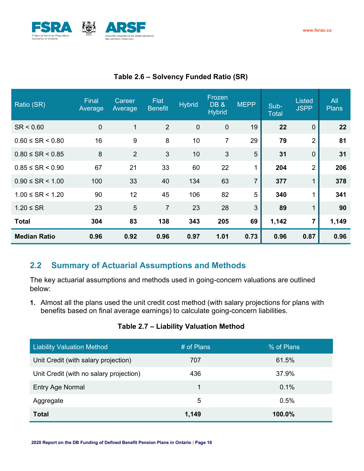



| Ratio (SR)               | Final<br>Average | Career<br>Average | Flat<br><b>Benefit</b> | <b>Hybrid</b> | Frozen<br><b>DB &amp;</b><br><b>Hybrid</b> | <b>MEPP</b>    | Sub-<br><b>Total</b> | <b>Listed</b><br><b>JSPP</b> | All<br><b>Plans</b> |
|--------------------------|------------------|-------------------|------------------------|---------------|--------------------------------------------|----------------|----------------------|------------------------------|---------------------|
| SR < 0.60                | $\mathbf 0$      | 1                 | 2                      | $\mathbf 0$   | $\mathbf 0$                                | 19             | 22                   | $\overline{0}$               | 22                  |
| $0.60 \leq SR < 0.80$    | 16               | 9                 | 8                      | 10            | 7                                          | 29             | 79                   | $\overline{2}$               | 81                  |
| $0.80 \leq SR < 0.85$    | 8                | $\overline{2}$    | 3                      | 10            | 3                                          | 5              | 31                   | $\overline{0}$               | 31                  |
| $0.85 \leq SR < 0.90$    | 67               | 21                | 33                     | 60            | 22                                         | 1              | 204                  | $\overline{2}$               | 206                 |
| $0.90 \leq SR \leq 1.00$ | 100              | 33                | 40                     | 134           | 63                                         | $\overline{7}$ | 377                  | 1                            | 378                 |
| $1.00 \leq SR < 1.20$    | 90               | 12                | 45                     | 106           | 82                                         | 5              | 340                  |                              | 341                 |
| $1.20 \leq SR$           | 23               | 5                 | $\overline{7}$         | 23            | 28                                         | 3              | 89                   | 1                            | 90                  |
| <b>Total</b>             | 304              | 83                | 138                    | 343           | 205                                        | 69             | 1,142                | 7                            | 1,149               |
| <b>Median Ratio</b>      | 0.96             | 0.92              | 0.96                   | 0.97          | 1.01                                       | 0.73           | 0.96                 | 0.87                         | 0.96                |

# **Table 2.6 – Solvency Funded Ratio (SR)**

# **2.2 Summary of Actuarial Assumptions and Methods**

The key actuarial assumptions and methods used in going-concern valuations are outlined below:

**1.** Almost all the plans used the unit credit cost method (with salary projections for plans with benefits based on final average earnings) to calculate going-concern liabilities.

## **Table 2.7 – Liability Valuation Method**

| <b>Liability Valuation Method</b>       | # of Plans | % of Plans |
|-----------------------------------------|------------|------------|
| Unit Credit (with salary projection)    | 707        | 61.5%      |
| Unit Credit (with no salary projection) | 436        | 37.9%      |
| Entry Age Normal                        | 1          | 0.1%       |
| Aggregate                               | 5          | 0.5%       |
| <b>Total</b>                            | 1,149      | $100.0\%$  |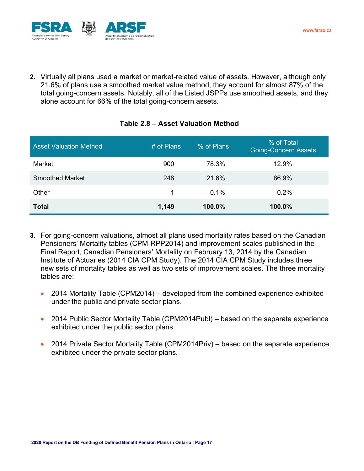

**2.** Virtually all plans used a market or market-related value of assets. However, although only 21.6% of plans use a smoothed market value method, they account for almost 87% of the total going-concern assets. Notably, all of the Listed JSPPs use smoothed assets, and they alone account for 66% of the total going-concern assets.

## **Table 2.8 – Asset Valuation Method**

| <b>Asset Valuation Method</b> | # of Plans | % of Plans | % of Total<br><b>Going-Concern Assets</b> |
|-------------------------------|------------|------------|-------------------------------------------|
| Market                        | 900        | 78.3%      | 12.9%                                     |
| <b>Smoothed Market</b>        | 248        | 21.6%      | 86.9%                                     |
| Other                         | 1          | $0.1\%$    | 0.2%                                      |
| <b>Total</b>                  | 1,149      | 100.0%     | 100.0%                                    |

- **3.** For going-concern valuations, almost all plans used mortality rates based on the Canadian Pensioners' Mortality tables (CPM-RPP2014) and improvement scales published in the Final Report, Canadian Pensioners' Mortality on February 13, 2014 by the Canadian Institute of Actuaries (2014 CIA CPM Study). The 2014 CIA CPM Study includes three new sets of mortality tables as well as two sets of improvement scales. The three mortality tables are:
	- 2014 Mortality Table (CPM2014) developed from the combined experience exhibited under the public and private sector plans.
	- 2014 Public Sector Mortality Table (CPM2014Publ) based on the separate experience exhibited under the public sector plans.
	- 2014 Private Sector Mortality Table (CPM2014Priv) based on the separate experience exhibited under the private sector plans.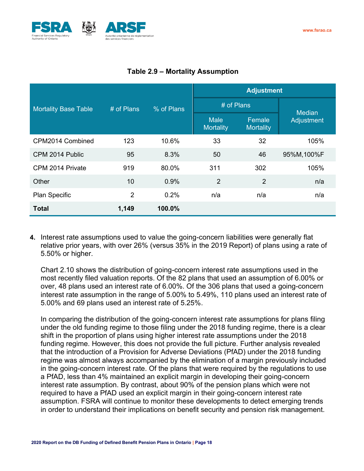

|                             |                |            | <b>Adjustment</b>        |                     |               |  |  |
|-----------------------------|----------------|------------|--------------------------|---------------------|---------------|--|--|
| <b>Mortality Base Table</b> | $#$ of Plans   | % of Plans | # of Plans               |                     | <b>Median</b> |  |  |
|                             |                |            | <b>Male</b><br>Mortality | Female<br>Mortality | Adjustment    |  |  |
| CPM2014 Combined            | 123            | 10.6%      | 33                       | 32                  | 105%          |  |  |
| CPM 2014 Public             | 95             | 8.3%       | 50                       | 46                  | 95%M,100%F    |  |  |
| CPM 2014 Private            | 919            | 80.0%      | 311                      | 302                 | 105%          |  |  |
| Other                       | 10             | 0.9%       | $\overline{2}$           | $\overline{2}$      | n/a           |  |  |
| Plan Specific               | $\overline{2}$ | 0.2%       | n/a                      | n/a                 | n/a           |  |  |
| <b>Total</b>                | 1,149          | 100.0%     |                          |                     |               |  |  |

# **Table 2.9 – Mortality Assumption**

**4.** Interest rate assumptions used to value the going-concern liabilities were generally flat relative prior years, with over 26% (versus 35% in the 2019 Report) of plans using a rate of 5.50% or higher.

Chart 2.10 shows the distribution of going-concern interest rate assumptions used in the most recently filed valuation reports. Of the 82 plans that used an assumption of 6.00% or over, 48 plans used an interest rate of 6.00%. Of the 306 plans that used a going-concern interest rate assumption in the range of 5.00% to 5.49%, 110 plans used an interest rate of 5.00% and 69 plans used an interest rate of 5.25%.

In comparing the distribution of the going-concern interest rate assumptions for plans filing under the old funding regime to those filing under the 2018 funding regime, there is a clear shift in the proportion of plans using higher interest rate assumptions under the 2018 funding regime. However, this does not provide the full picture. Further analysis revealed that the introduction of a Provision for Adverse Deviations (PfAD) under the 2018 funding regime was almost always accompanied by the elimination of a margin previously included in the going-concern interest rate. Of the plans that were required by the regulations to use a PfAD, less than 4% maintained an explicit margin in developing their going-concern interest rate assumption. By contrast, about 90% of the pension plans which were not required to have a PfAD used an explicit margin in their going-concern interest rate assumption. FSRA will continue to monitor these developments to detect emerging trends in order to understand their implications on benefit security and pension risk management.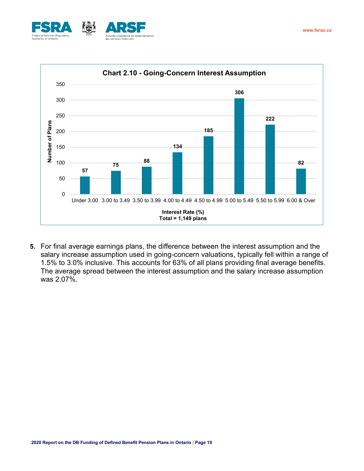



**5.** For final average earnings plans, the difference between the interest assumption and the salary increase assumption used in going-concern valuations, typically fell within a range of 1.5% to 3.0% inclusive. This accounts for 63% of all plans providing final average benefits. The average spread between the interest assumption and the salary increase assumption was 2.07%.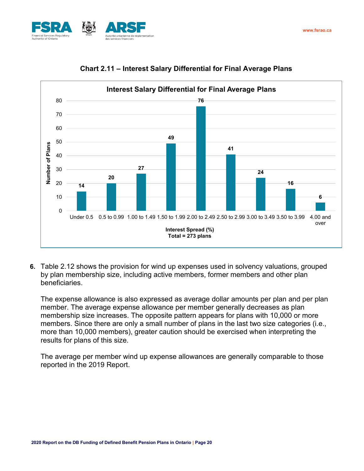



## **Chart 2.11 – Interest Salary Differential for Final Average Plans**

**6.** Table 2.12 shows the provision for wind up expenses used in solvency valuations, grouped by plan membership size, including active members, former members and other plan beneficiaries.

The expense allowance is also expressed as average dollar amounts per plan and per plan member. The average expense allowance per member generally decreases as plan membership size increases. The opposite pattern appears for plans with 10,000 or more members. Since there are only a small number of plans in the last two size categories (i.e., more than 10,000 members), greater caution should be exercised when interpreting the results for plans of this size.

The average per member wind up expense allowances are generally comparable to those reported in the 2019 Report.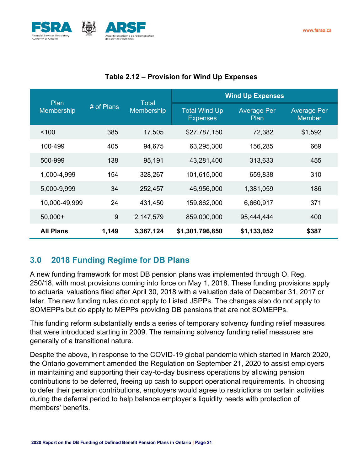

| Plan             |            | Total      | <b>Wind Up Expenses</b>                 |                            |                                     |  |  |
|------------------|------------|------------|-----------------------------------------|----------------------------|-------------------------------------|--|--|
| Membership       | # of Plans | Membership | <b>Total Wind Up</b><br><b>Expenses</b> | <b>Average Per</b><br>Plan | <b>Average Per</b><br><b>Member</b> |  |  |
| < 100            | 385        | 17,505     | \$27,787,150                            | 72,382                     | \$1,592                             |  |  |
| 100-499          | 405        | 94,675     | 63,295,300                              | 156,285                    | 669                                 |  |  |
| 500-999          | 138        | 95,191     | 43,281,400                              | 313,633                    | 455                                 |  |  |
| 1,000-4,999      | 154        | 328,267    | 101,615,000                             | 659,838                    | 310                                 |  |  |
| 5,000-9,999      | 34         | 252,457    | 46,956,000                              | 1,381,059                  | 186                                 |  |  |
| 10,000-49,999    | 24         | 431,450    | 159,862,000                             | 6,660,917                  | 371                                 |  |  |
| $50,000+$        | 9          | 2,147,579  | 859,000,000                             | 95,444,444                 | 400                                 |  |  |
| <b>All Plans</b> | 1,149      | 3,367,124  | \$1,301,796,850                         | \$1,133,052                | \$387                               |  |  |

### **Table 2.12 – Provision for Wind Up Expenses**

# <span id="page-20-0"></span>**3.0 2018 Funding Regime for DB Plans**

A new funding framework for most DB pension plans was implemented through O. Reg. 250/18, with most provisions coming into force on May 1, 2018. These funding provisions apply to actuarial valuations filed after April 30, 2018 with a valuation date of December 31, 2017 or later. The new funding rules do not apply to Listed JSPPs. The changes also do not apply to SOMEPPs but do apply to MEPPs providing DB pensions that are not SOMEPPs.

This funding reform substantially ends a series of temporary solvency funding relief measures that were introduced starting in 2009. The remaining solvency funding relief measures are generally of a transitional nature.

Despite the above, in response to the COVID-19 global pandemic which started in March 2020, the Ontario government amended the Regulation on September 21, 2020 to assist employers in maintaining and supporting their day-to-day business operations by allowing pension contributions to be deferred, freeing up cash to support operational requirements. In choosing to defer their pension contributions, employers would agree to restrictions on certain activities during the deferral period to help balance employer's liquidity needs with protection of members' benefits.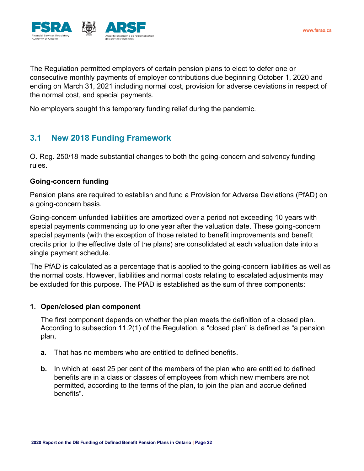

The Regulation permitted employers of certain pension plans to elect to defer one or consecutive monthly payments of employer contributions due beginning October 1, 2020 and ending on March 31, 2021 including normal cost, provision for adverse deviations in respect of the normal cost, and special payments.

No employers sought this temporary funding relief during the pandemic.

# <span id="page-21-0"></span>**3.1 New 2018 Funding Framework**

O. Reg. 250/18 made substantial changes to both the going-concern and solvency funding rules.

#### <span id="page-21-1"></span>**Going-concern funding**

Pension plans are required to establish and fund a Provision for Adverse Deviations (PfAD) on a going-concern basis.

Going-concern unfunded liabilities are amortized over a period not exceeding 10 years with special payments commencing up to one year after the valuation date. These going-concern special payments (with the exception of those related to benefit improvements and benefit credits prior to the effective date of the plans) are consolidated at each valuation date into a single payment schedule.

The PfAD is calculated as a percentage that is applied to the going-concern liabilities as well as the normal costs. However, liabilities and normal costs relating to escalated adjustments may be excluded for this purpose. The PfAD is established as the sum of three components:

#### **1. Open/closed plan component**

The first component depends on whether the plan meets the definition of a closed plan. According to subsection 11.2(1) of the Regulation, a "closed plan" is defined as "a pension plan,

- **a.** That has no members who are entitled to defined benefits.
- **b.** In which at least 25 per cent of the members of the plan who are entitled to defined benefits are in a class or classes of employees from which new members are not permitted, according to the terms of the plan, to join the plan and accrue defined benefits".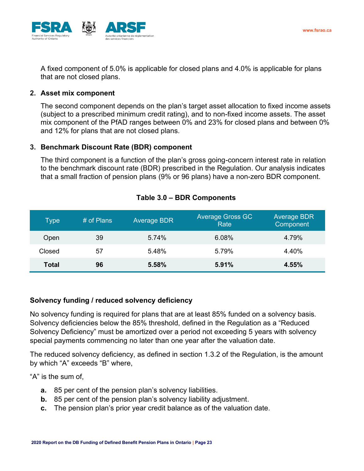

A fixed component of 5.0% is applicable for closed plans and 4.0% is applicable for plans that are not closed plans.

#### **2. Asset mix component**

The second component depends on the plan's target asset allocation to fixed income assets (subject to a prescribed minimum credit rating), and to non-fixed income assets. The asset mix component of the PfAD ranges between 0% and 23% for closed plans and between 0% and 12% for plans that are not closed plans.

#### **3. Benchmark Discount Rate (BDR) component**

The third component is a function of the plan's gross going-concern interest rate in relation to the benchmark discount rate (BDR) prescribed in the Regulation. Our analysis indicates that a small fraction of pension plans (9% or 96 plans) have a non-zero BDR component.

| Type         | # of Plans | <b>Average BDR</b> | <b>Average Gross GC</b><br>Rate | <b>Average BDR</b><br>Component |
|--------------|------------|--------------------|---------------------------------|---------------------------------|
| Open         | 39         | 5.74%              | 6.08%                           | 4.79%                           |
| Closed       | 57         | 5.48%              | 5.79%                           | 4.40%                           |
| <b>Total</b> | 96         | 5.58%              | 5.91%                           | 4.55%                           |

#### **Table 3.0 – BDR Components**

#### <span id="page-22-0"></span>**Solvency funding / reduced solvency deficiency**

No solvency funding is required for plans that are at least 85% funded on a solvency basis. Solvency deficiencies below the 85% threshold, defined in the Regulation as a "Reduced Solvency Deficiency" must be amortized over a period not exceeding 5 years with solvency special payments commencing no later than one year after the valuation date.

The reduced solvency deficiency, as defined in section 1.3.2 of the Regulation, is the amount by which "A" exceeds "B" where,

"A" is the sum of,

- **a.** 85 per cent of the pension plan's solvency liabilities.
- **b.** 85 per cent of the pension plan's solvency liability adjustment.
- **c.** The pension plan's prior year credit balance as of the valuation date.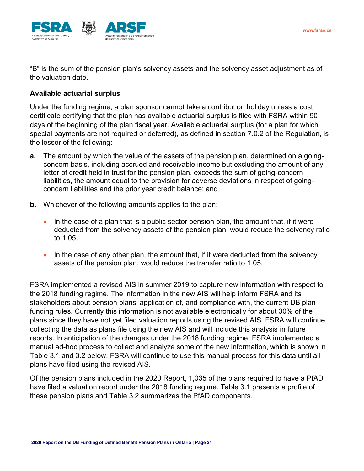

"B" is the sum of the pension plan's solvency assets and the solvency asset adjustment as of the valuation date.

### <span id="page-23-0"></span>**Available actuarial surplus**

Under the funding regime, a plan sponsor cannot take a contribution holiday unless a cost certificate certifying that the plan has available actuarial surplus is filed with FSRA within 90 days of the beginning of the plan fiscal year. Available actuarial surplus (for a plan for which special payments are not required or deferred), as defined in section 7.0.2 of the Regulation, is the lesser of the following:

- **a.** The amount by which the value of the assets of the pension plan, determined on a goingconcern basis, including accrued and receivable income but excluding the amount of any letter of credit held in trust for the pension plan, exceeds the sum of going-concern liabilities, the amount equal to the provision for adverse deviations in respect of goingconcern liabilities and the prior year credit balance; and
- **b.** Whichever of the following amounts applies to the plan:
	- In the case of a plan that is a public sector pension plan, the amount that, if it were deducted from the solvency assets of the pension plan, would reduce the solvency ratio to 1.05.
	- In the case of any other plan, the amount that, if it were deducted from the solvency assets of the pension plan, would reduce the transfer ratio to 1.05.

FSRA implemented a revised AIS in summer 2019 to capture new information with respect to the 2018 funding regime. The information in the new AIS will help inform FSRA and its stakeholders about pension plans' application of, and compliance with, the current DB plan funding rules. Currently this information is not available electronically for about 30% of the plans since they have not yet filed valuation reports using the revised AIS. FSRA will continue collecting the data as plans file using the new AIS and will include this analysis in future reports. In anticipation of the changes under the 2018 funding regime, FSRA implemented a manual ad-hoc process to collect and analyze some of the new information, which is shown in Table 3.1 and 3.2 below. FSRA will continue to use this manual process for this data until all plans have filed using the revised AIS.

Of the pension plans included in the 2020 Report, 1,035 of the plans required to have a PfAD have filed a valuation report under the 2018 funding regime. Table 3.1 presents a profile of these pension plans and Table 3.2 summarizes the PfAD components.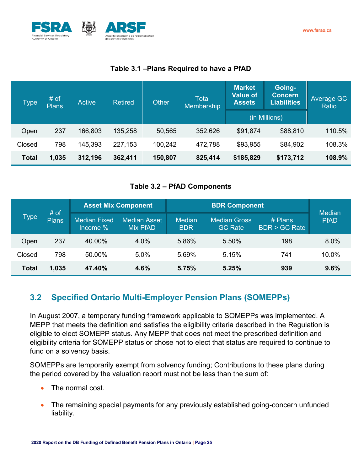



## **Table 3.1 –Plans Required to have a PfAD**

| <b>Type</b>  | # of<br><b>Plans</b> | <b>Active</b> | <b>Retired</b> | <b>Total</b><br><b>Other</b><br>Membership |         | <b>Market</b><br>Value of<br><b>Assets</b> | Going-<br><b>Concern</b><br><b>Liabilities</b> | Average GC<br>Ratio |
|--------------|----------------------|---------------|----------------|--------------------------------------------|---------|--------------------------------------------|------------------------------------------------|---------------------|
|              |                      |               |                |                                            |         |                                            | (in Millions)                                  |                     |
| Open         | 237                  | 166,803       | 135,258        | 50,565                                     | 352,626 | \$91,874                                   | \$88,810                                       | 110.5%              |
| Closed       | 798                  | 145,393       | 227,153        | 100,242                                    | 472,788 | \$93,955                                   | \$84,902                                       | 108.3%              |
| <b>Total</b> | 1,035                | 312,196       | 362,411        | 150,807                                    | 825,414 | \$185,829                                  | \$173,712                                      | 108.9%              |

## **Table 3.2 – PfAD Components**

| # of   |              |                                 | <b>Asset Mix Component</b>             |                             | <b>Median</b>                         |                                      |             |
|--------|--------------|---------------------------------|----------------------------------------|-----------------------------|---------------------------------------|--------------------------------------|-------------|
| Type   | <b>Plans</b> | <b>Median Fixed</b><br>Income % | <b>Median Asset</b><br><b>Mix PfAD</b> | <b>Median</b><br><b>BDR</b> | <b>Median Gross</b><br><b>GC Rate</b> | $#$ Plans<br><b>BDR &gt; GC Rate</b> | <b>PfAD</b> |
| Open   | 237          | 40.00%                          | 4.0%                                   | 5.86%                       | 5.50%                                 | 198                                  | $8.0\%$     |
| Closed | 798          | 50.00%                          | 5.0%                                   | 5.69%                       | 5.15%                                 | 741                                  | 10.0%       |
| Total  | 1,035        | 47.40%                          | 4.6%                                   | 5.75%                       | 5.25%                                 | 939                                  | 9.6%        |

# <span id="page-24-0"></span>**3.2 Specified Ontario Multi-Employer Pension Plans (SOMEPPs)**

In August 2007, a temporary funding framework applicable to SOMEPPs was implemented. A MEPP that meets the definition and satisfies the eligibility criteria described in the Regulation is eligible to elect SOMEPP status. Any MEPP that does not meet the prescribed definition and eligibility criteria for SOMEPP status or chose not to elect that status are required to continue to fund on a solvency basis.

SOMEPPs are temporarily exempt from solvency funding; Contributions to these plans during the period covered by the valuation report must not be less than the sum of:

- The normal cost.
- The remaining special payments for any previously established going-concern unfunded liability.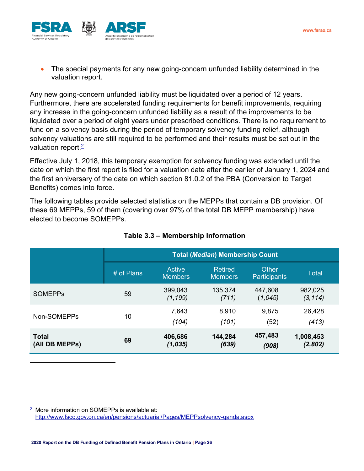

• The special payments for any new going-concern unfunded liability determined in the valuation report.

Any new going-concern unfunded liability must be liquidated over a period of 12 years. Furthermore, there are accelerated funding requirements for benefit improvements, requiring any increase in the going-concern unfunded liability as a result of the improvements to be liquidated over a period of eight years under prescribed conditions. There is no requirement to fund on a solvency basis during the period of temporary solvency funding relief, although solvency valuations are still required to be performed and their results must be set out in the valuation report  $\frac{2}{3}$ 

Effective July 1, 2018, this temporary exemption for solvency funding was extended until the date on which the first report is filed for a valuation date after the earlier of January 1, 2024 and the first anniversary of the date on which section 81.0.2 of the PBA (Conversion to Target Benefits) comes into force.

The following tables provide selected statistics on the MEPPs that contain a DB provision. Of these 69 MEPPs, 59 of them (covering over 97% of the total DB MEPP membership) have elected to become SOMEPPs.

|                                |            | <b>Total (Median) Membership Count</b> |                           |                       |                      |  |  |  |
|--------------------------------|------------|----------------------------------------|---------------------------|-----------------------|----------------------|--|--|--|
|                                | # of Plans | Active<br><b>Members</b>               | Retired<br><b>Members</b> | Other<br>Participants | Total                |  |  |  |
| <b>SOMEPPS</b>                 | 59         | 399,043<br>(1, 199)                    | 135,374<br>(711)          | 447,608<br>(1,045)    | 982,025<br>(3, 114)  |  |  |  |
| Non-SOMEPPs                    | 10         | 7,643<br>(104)                         | 8,910<br>(101)            | 9,875<br>(52)         | 26,428<br>(413)      |  |  |  |
| <b>Total</b><br>(All DB MEPPs) | 69         | 406,686<br>(1,035)                     | 144,284<br>(639)          | 457,483<br>(908)      | 1,008,453<br>(2,802) |  |  |  |

## **Table 3.3 – Membership Information**

<sup>2</sup> More information on SOMEPPs is available at: <http://www.fsco.gov.on.ca/en/pensions/actuarial/Pages/MEPPsolvency-qanda.aspx>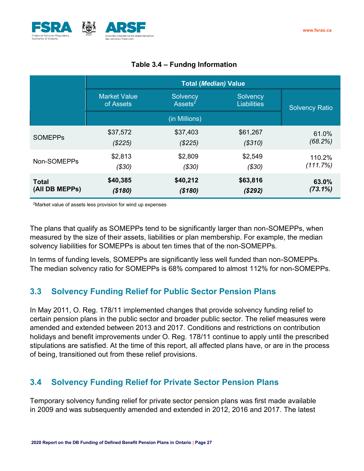

|                | <b>Total (Median) Value</b>      |                                                 |                                |                       |  |  |
|----------------|----------------------------------|-------------------------------------------------|--------------------------------|-----------------------|--|--|
|                | <b>Market Value</b><br>of Assets | Solvency<br>Assets <sup><math>\tau</math></sup> | Solvency<br><b>Liabilities</b> | <b>Solvency Ratio</b> |  |  |
|                |                                  | (in Millions)                                   |                                |                       |  |  |
| <b>SOMEPPS</b> | \$37,572                         | \$37,403                                        | \$61,267                       | 61.0%                 |  |  |
|                | (\$225)                          | (\$225)                                         | (S310)                         | (68.2%)               |  |  |
| Non-SOMEPPs    | \$2,813                          | \$2,809                                         | \$2,549                        | 110.2%                |  |  |
|                | ( \$30)                          | (\$30)                                          | ( \$30)                        | (111.7%)              |  |  |
| <b>Total</b>   | \$40,385                         | \$40,212                                        | \$63,816                       | 63.0%                 |  |  |
| (All DB MEPPs) | (\$180)                          | (\$180)                                         | (\$292)                        | (73.1%)               |  |  |

## **Table 3.4 – Funding Information**

‡Market value of assets less provision for wind up expenses

The plans that qualify as SOMEPPs tend to be significantly larger than non-SOMEPPs, when measured by the size of their assets, liabilities or plan membership. For example, the median solvency liabilities for SOMEPPs is about ten times that of the non-SOMEPPs.

In terms of funding levels, SOMEPPs are significantly less well funded than non-SOMEPPs. The median solvency ratio for SOMEPPs is 68% compared to almost 112% for non-SOMEPPs.

# <span id="page-26-0"></span>**3.3 Solvency Funding Relief for Public Sector Pension Plans**

In May 2011, O. Reg. 178/11 implemented changes that provide solvency funding relief to certain pension plans in the public sector and broader public sector. The relief measures were amended and extended between 2013 and 2017. Conditions and restrictions on contribution holidays and benefit improvements under O. Reg. 178/11 continue to apply until the prescribed stipulations are satisfied. At the time of this report, all affected plans have, or are in the process of being, transitioned out from these relief provisions.

# <span id="page-26-1"></span>**3.4 Solvency Funding Relief for Private Sector Pension Plans**

Temporary solvency funding relief for private sector pension plans was first made available in 2009 and was subsequently amended and extended in 2012, 2016 and 2017. The latest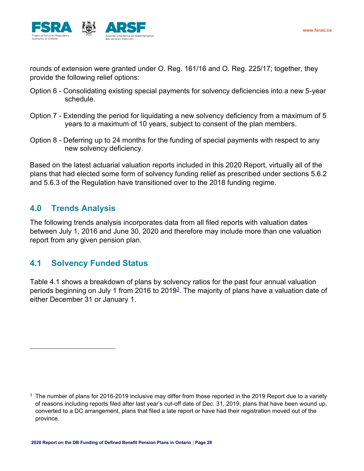

rounds of extension were granted under O. Reg. 161/16 and O. Reg. 225/17; together, they provide the following relief options:

- Option 6 Consolidating existing special payments for solvency deficiencies into a new 5-year schedule.
- Option 7 Extending the period for liquidating a new solvency deficiency from a maximum of 5 years to a maximum of 10 years, subject to consent of the plan members.
- Option 8 Deferring up to 24 months for the funding of special payments with respect to any new solvency deficiency.

Based on the latest actuarial valuation reports included in this 2020 Report, virtually all of the plans that had elected some form of solvency funding relief as prescribed under sections 5.6.2 and 5.6.3 of the Regulation have transitioned over to the 2018 funding regime.

# <span id="page-27-0"></span>**4.0 Trends Analysis**

The following trends analysis incorporates data from all filed reports with valuation dates between July 1, 2016 and June 30, 2020 and therefore may include more than one valuation report from any given pension plan.

## <span id="page-27-1"></span>**4.1 Solvency Funded Status**

Table 4.1 shows a breakdown of plans by solvency ratios for the past four annual valuation periods beginning on July 1 from 2016 to 2019<sup>3</sup>. The majority of plans have a valuation date of either December 31 or January 1.

 $3$  The number of plans for 2016-2019 inclusive may differ from those reported in the 2019 Report due to a variety of reasons including reports filed after last year's cut-off date of Dec. 31, 2019, plans that have been wound up, converted to a DC arrangement, plans that filed a late report or have had their registration moved out of the province.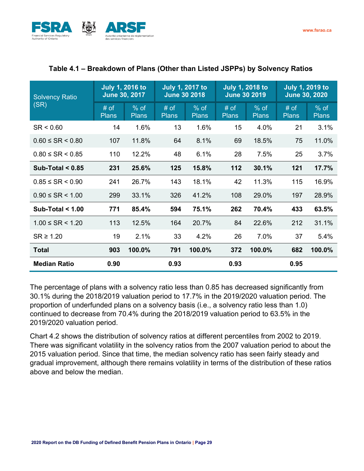

| <b>Solvency Ratio</b>    | <b>July 1, 2016 to</b><br>June 30, 2017 |                        | <b>July 1, 2017 to</b><br><b>June 30 2018</b> |                        | <b>July 1, 2018 to</b><br><b>June 30 2019</b> |                        | <b>July 1, 2019 to</b><br><b>June 30, 2020</b> |                        |
|--------------------------|-----------------------------------------|------------------------|-----------------------------------------------|------------------------|-----------------------------------------------|------------------------|------------------------------------------------|------------------------|
| (SR)                     | # of<br><b>Plans</b>                    | $%$ of<br><b>Plans</b> | # of<br><b>Plans</b>                          | $%$ of<br><b>Plans</b> | $#$ of<br><b>Plans</b>                        | $%$ of<br><b>Plans</b> | # of<br><b>Plans</b>                           | $%$ of<br><b>Plans</b> |
| SR < 0.60                | 14                                      | 1.6%                   | 13                                            | 1.6%                   | 15                                            | 4.0%                   | 21                                             | 3.1%                   |
| $0.60 \leq SR \leq 0.80$ | 107                                     | 11.8%                  | 64                                            | 8.1%                   | 69                                            | 18.5%                  | 75                                             | 11.0%                  |
| $0.80 \leq SR \leq 0.85$ | 110                                     | 12.2%                  | 48                                            | 6.1%                   | 28                                            | 7.5%                   | 25                                             | 3.7%                   |
| Sub-Total $< 0.85$       | 231                                     | 25.6%                  | 125                                           | 15.8%                  | 112                                           | 30.1%                  | 121                                            | 17.7%                  |
| $0.85 \leq SR \leq 0.90$ | 241                                     | 26.7%                  | 143                                           | 18.1%                  | 42                                            | 11.3%                  | 115                                            | 16.9%                  |
| $0.90 \leq SR \leq 1.00$ | 299                                     | 33.1%                  | 326                                           | 41.2%                  | 108                                           | 29.0%                  | 197                                            | 28.9%                  |
| Sub-Total $< 1.00$       | 771                                     | 85.4%                  | 594                                           | 75.1%                  | 262                                           | 70.4%                  | 433                                            | 63.5%                  |
| $1.00 \leq SR \leq 1.20$ | 113                                     | 12.5%                  | 164                                           | 20.7%                  | 84                                            | 22.6%                  | 212                                            | 31.1%                  |
| $SR \geq 1.20$           | 19                                      | 2.1%                   | 33                                            | 4.2%                   | 26                                            | 7.0%                   | 37                                             | 5.4%                   |
| <b>Total</b>             | 903                                     | 100.0%                 | 791                                           | 100.0%                 | 372                                           | 100.0%                 | 682                                            | 100.0%                 |
| <b>Median Ratio</b>      | 0.90                                    |                        | 0.93                                          |                        | 0.93                                          |                        | 0.95                                           |                        |

## **Table 4.1 – Breakdown of Plans (Other than Listed JSPPs) by Solvency Ratios**

The percentage of plans with a solvency ratio less than 0.85 has decreased significantly from 30.1% during the 2018/2019 valuation period to 17.7% in the 2019/2020 valuation period. The proportion of underfunded plans on a solvency basis (i.e., a solvency ratio less than 1.0) continued to decrease from 70.4% during the 2018/2019 valuation period to 63.5% in the 2019/2020 valuation period.

Chart 4.2 shows the distribution of solvency ratios at different percentiles from 2002 to 2019. There was significant volatility in the solvency ratios from the 2007 valuation period to about the 2015 valuation period. Since that time, the median solvency ratio has seen fairly steady and gradual improvement, although there remains volatility in terms of the distribution of these ratios above and below the median.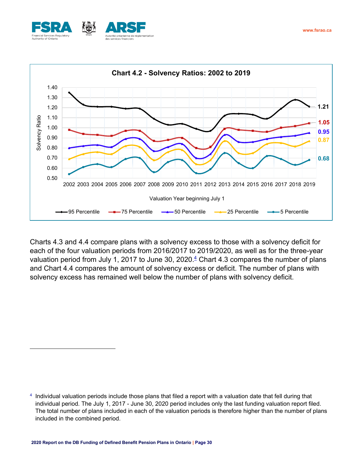



Charts 4.3 and 4.4 compare plans with a solvency excess to those with a solvency deficit for each of the four valuation periods from 2016/2017 to 2019/2020, as well as for the three-year valuation period from July 1, 2017 to June 30, 2020. $\frac{4}{5}$  Chart 4.3 compares the number of plans and Chart 4.4 compares the amount of solvency excess or deficit. The number of plans with solvency excess has remained well below the number of plans with solvency deficit.

<sup>4</sup> Individual valuation periods include those plans that filed a report with a valuation date that fell during that individual period. The July 1, 2017 - June 30, 2020 period includes only the last funding valuation report filed. The total number of plans included in each of the valuation periods is therefore higher than the number of plans included in the combined period.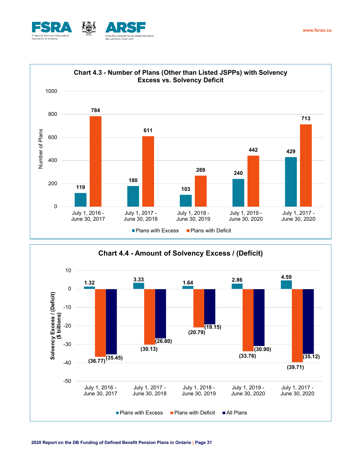



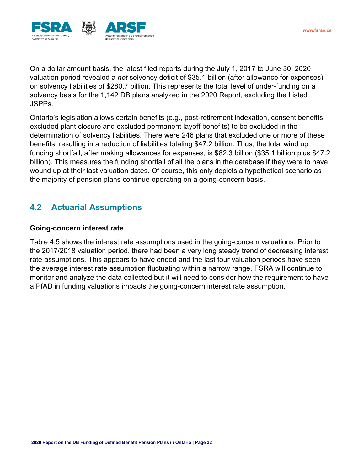

On a dollar amount basis, the latest filed reports during the July 1, 2017 to June 30, 2020 valuation period revealed a *net* solvency deficit of \$35.1 billion (after allowance for expenses) on solvency liabilities of \$280.7 billion. This represents the total level of under-funding on a solvency basis for the 1,142 DB plans analyzed in the 2020 Report, excluding the Listed JSPPs.

Ontario's legislation allows certain benefits (e.g., post-retirement indexation, consent benefits, excluded plant closure and excluded permanent layoff benefits) to be excluded in the determination of solvency liabilities. There were 246 plans that excluded one or more of these benefits, resulting in a reduction of liabilities totaling \$47.2 billion. Thus, the total wind up funding shortfall, after making allowances for expenses, is \$82.3 billion (\$35.1 billion plus \$47.2 billion). This measures the funding shortfall of all the plans in the database if they were to have wound up at their last valuation dates. Of course, this only depicts a hypothetical scenario as the majority of pension plans continue operating on a going-concern basis.

# <span id="page-31-0"></span>**4.2 Actuarial Assumptions**

#### <span id="page-31-1"></span>**Going-concern interest rate**

Table 4.5 shows the interest rate assumptions used in the going-concern valuations. Prior to the 2017/2018 valuation period, there had been a very long steady trend of decreasing interest rate assumptions. This appears to have ended and the last four valuation periods have seen the average interest rate assumption fluctuating within a narrow range. FSRA will continue to monitor and analyze the data collected but it will need to consider how the requirement to have a PfAD in funding valuations impacts the going-concern interest rate assumption.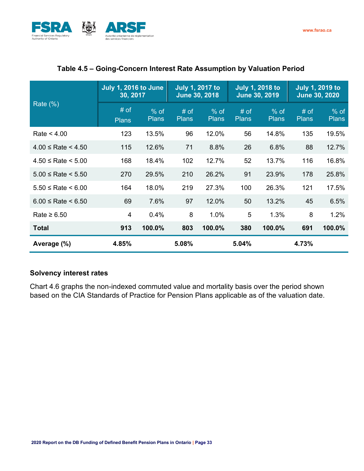

|                              | <b>July 1, 2016 to June</b><br>30, 2017 |                        |                        | <b>July 1, 2017 to</b><br><b>June 30, 2018</b> |                      | <b>July 1, 2018 to</b><br><b>June 30, 2019</b> |                        | <b>July 1, 2019 to</b><br><b>June 30, 2020</b> |
|------------------------------|-----------------------------------------|------------------------|------------------------|------------------------------------------------|----------------------|------------------------------------------------|------------------------|------------------------------------------------|
| Rate $(\%)$                  | # of<br><b>Plans</b>                    | $%$ of<br><b>Plans</b> | $#$ of<br><b>Plans</b> | $%$ of<br><b>Plans</b>                         | # of<br><b>Plans</b> | $\frac{9}{6}$ of<br><b>Plans</b>               | $#$ of<br><b>Plans</b> | $%$ of<br><b>Plans</b>                         |
| Rate $< 4.00$                | 123                                     | 13.5%                  | 96                     | 12.0%                                          | 56                   | 14.8%                                          | 135                    | 19.5%                                          |
| $4.00 \leq$ Rate $\leq 4.50$ | 115                                     | 12.6%                  | 71                     | 8.8%                                           | 26                   | 6.8%                                           | 88                     | 12.7%                                          |
| $4.50 \leq$ Rate $\leq 5.00$ | 168                                     | 18.4%                  | 102                    | 12.7%                                          | 52                   | 13.7%                                          | 116                    | 16.8%                                          |
| $5.00 \leq Rate \leq 5.50$   | 270                                     | 29.5%                  | 210                    | 26.2%                                          | 91                   | 23.9%                                          | 178                    | 25.8%                                          |
| $5.50 \leq Rate \leq 6.00$   | 164                                     | 18.0%                  | 219                    | 27.3%                                          | 100                  | 26.3%                                          | 121                    | 17.5%                                          |
| $6.00 \leq Rate \leq 6.50$   | 69                                      | 7.6%                   | 97                     | 12.0%                                          | 50                   | 13.2%                                          | 45                     | 6.5%                                           |
| Rate $\geq 6.50$             | $\overline{4}$                          | 0.4%                   | 8                      | 1.0%                                           | 5                    | 1.3%                                           | 8                      | 1.2%                                           |
| <b>Total</b>                 | 913                                     | 100.0%                 | 803                    | 100.0%                                         | 380                  | 100.0%                                         | 691                    | 100.0%                                         |
| Average (%)                  | 4.85%                                   |                        | 5.08%                  |                                                | 5.04%                |                                                | 4.73%                  |                                                |

## **Table 4.5 – Going-Concern Interest Rate Assumption by Valuation Period**

## <span id="page-32-0"></span>**Solvency interest rates**

Chart 4.6 graphs the non-indexed commuted value and mortality basis over the period shown based on the CIA Standards of Practice for Pension Plans applicable as of the valuation date.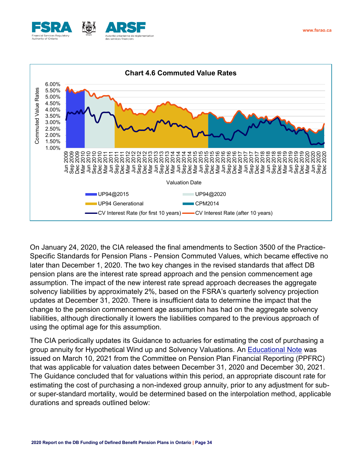





On January 24, 2020, the CIA released the final amendments to Section 3500 of the Practice-Specific Standards for Pension Plans - Pension Commuted Values, which became effective no later than December 1, 2020. The two key changes in the revised standards that affect DB pension plans are the interest rate spread approach and the pension commencement age assumption. The impact of the new interest rate spread approach decreases the aggregate solvency liabilities by approximately 2%, based on the FSRA's quarterly solvency projection updates at December 31, 2020. There is insufficient data to determine the impact that the change to the pension commencement age assumption has had on the aggregate solvency liabilities, although directionally it lowers the liabilities compared to the previous approach of using the optimal age for this assumption.

The CIA periodically updates its Guidance to actuaries for estimating the cost of purchasing a group annuity for Hypothetical Wind up and Solvency Valuations. An [Educational Note](https://www.cia-ica.ca/docs/default-source/2021/221026e.pdf) was issued on March 10, 2021 from the Committee on Pension Plan Financial Reporting (PPFRC) that was applicable for valuation dates between December 31, 2020 and December 30, 2021. The Guidance concluded that for valuations within this period, an appropriate discount rate for estimating the cost of purchasing a non-indexed group annuity, prior to any adjustment for subor super-standard mortality, would be determined based on the interpolation method, applicable durations and spreads outlined below: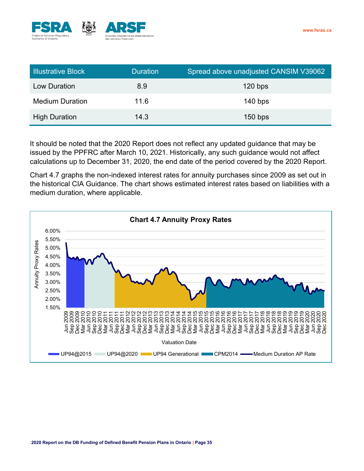

| <b>Illustrative Block</b> | <b>Duration</b> | Spread above unadjusted CANSIM V39062 |
|---------------------------|-----------------|---------------------------------------|
| Low Duration              | 8.9             | $120$ bps                             |
| <b>Medium Duration</b>    | 11.6            | $140$ bps                             |
| <b>High Duration</b>      | 14.3            | $150$ bps                             |

It should be noted that the 2020 Report does not reflect any updated guidance that may be issued by the PPFRC after March 10, 2021. Historically, any such guidance would not affect calculations up to December 31, 2020, the end date of the period covered by the 2020 Report.

Chart 4.7 graphs the non-indexed interest rates for annuity purchases since 2009 as set out in the historical CIA Guidance. The chart shows estimated interest rates based on liabilities with a medium duration, where applicable.

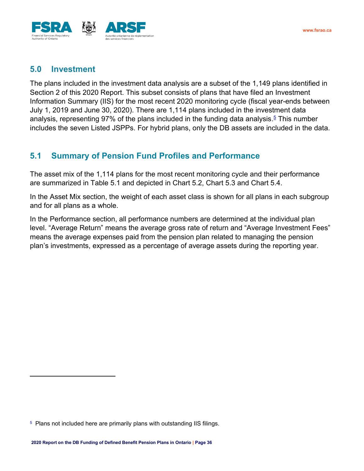



# <span id="page-35-0"></span>**5.0 Investment**

The plans included in the investment data analysis are a subset of the 1,149 plans identified in Section 2 of this 2020 Report. This subset consists of plans that have filed an Investment Information Summary (IIS) for the most recent 2020 monitoring cycle (fiscal year-ends between July 1, 2019 and June 30, 2020). There are 1,114 plans included in the investment data analysis, representing 97% of the plans included in the funding data analysis.<sup>5</sup> This number includes the seven Listed JSPPs. For hybrid plans, only the DB assets are included in the data.

# <span id="page-35-1"></span>**5.1 Summary of Pension Fund Profiles and Performance**

The asset mix of the 1,114 plans for the most recent monitoring cycle and their performance are summarized in Table 5.1 and depicted in Chart 5.2, Chart 5.3 and Chart 5.4.

In the Asset Mix section, the weight of each asset class is shown for all plans in each subgroup and for all plans as a whole.

In the Performance section, all performance numbers are determined at the individual plan level. "Average Return" means the average gross rate of return and "Average Investment Fees" means the average expenses paid from the pension plan related to managing the pension plan's investments, expressed as a percentage of average assets during the reporting year.

<sup>&</sup>lt;sup>5</sup> Plans not included here are primarily plans with outstanding IIS filings.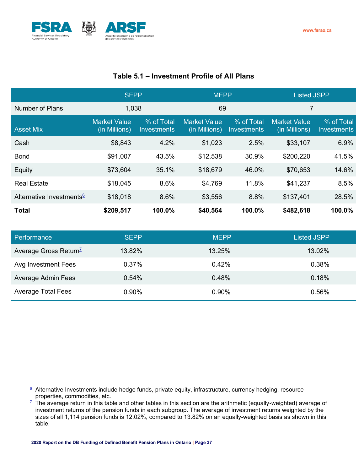

## **Table 5.1 – Investment Profile of All Plans**

|                                      | <b>SEPP</b>                          |                                  | <b>MEPP</b>                          |                           | <b>Listed JSPP</b>                   |                                  |
|--------------------------------------|--------------------------------------|----------------------------------|--------------------------------------|---------------------------|--------------------------------------|----------------------------------|
| Number of Plans                      | 1,038                                |                                  | 69                                   |                           | $\overline{7}$                       |                                  |
| <b>Asset Mix</b>                     | <b>Market Value</b><br>(in Millions) | % of Total<br><b>Investments</b> | <b>Market Value</b><br>(in Millions) | % of Total<br>Investments | <b>Market Value</b><br>(in Millions) | % of Total<br><b>Investments</b> |
| Cash                                 | \$8,843                              | 4.2%                             | \$1,023                              | 2.5%                      | \$33,107                             | 6.9%                             |
| <b>Bond</b>                          | \$91,007                             | 43.5%                            | \$12,538                             | 30.9%                     | \$200,220                            | 41.5%                            |
| Equity                               | \$73,604                             | 35.1%                            | \$18,679                             | 46.0%                     | \$70,653                             | 14.6%                            |
| <b>Real Estate</b>                   | \$18,045                             | 8.6%                             | \$4,769                              | 11.8%                     | \$41,237                             | 8.5%                             |
| Alternative Investments <sup>6</sup> | \$18,018                             | 8.6%                             | \$3,556                              | 8.8%                      | \$137,401                            | 28.5%                            |
| <b>Total</b>                         | \$209,517                            | 100.0%                           | \$40,564                             | 100.0%                    | \$482,618                            | 100.0%                           |

| Performance                       | <b>SFPP</b> | <b>MEPP</b> | <b>Listed JSPP</b> |
|-----------------------------------|-------------|-------------|--------------------|
| Average Gross Return <sup>7</sup> | 13.82%      | 13.25%      | 13.02%             |
| Avg Investment Fees               | 0.37%       | 0.42%       | 0.38%              |
| Average Admin Fees                | 0.54%       | 0.48%       | 0.18%              |
| <b>Average Total Fees</b>         | 0.90%       | 0.90%       | 0.56%              |

<sup>6</sup> Alternative Investments include hedge funds, private equity, infrastructure, currency hedging, resource properties, commodities, etc.

 $7$  The average return in this table and other tables in this section are the arithmetic (equally-weighted) average of investment returns of the pension funds in each subgroup. The average of investment returns weighted by the sizes of all 1,114 pension funds is 12.02%, compared to 13.82% on an equally-weighted basis as shown in this table.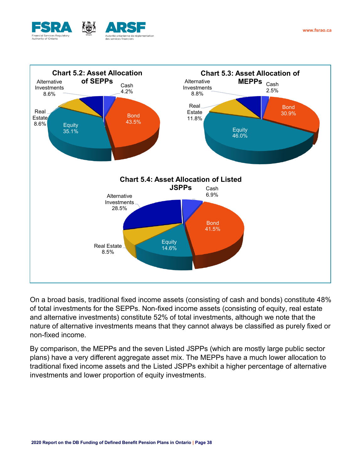



On a broad basis, traditional fixed income assets (consisting of cash and bonds) constitute 48% of total investments for the SEPPs. Non-fixed income assets (consisting of equity, real estate and alternative investments) constitute 52% of total investments, although we note that the nature of alternative investments means that they cannot always be classified as purely fixed or non-fixed income.

By comparison, the MEPPs and the seven Listed JSPPs (which are mostly large public sector plans) have a very different aggregate asset mix. The MEPPs have a much lower allocation to traditional fixed income assets and the Listed JSPPs exhibit a higher percentage of alternative investments and lower proportion of equity investments.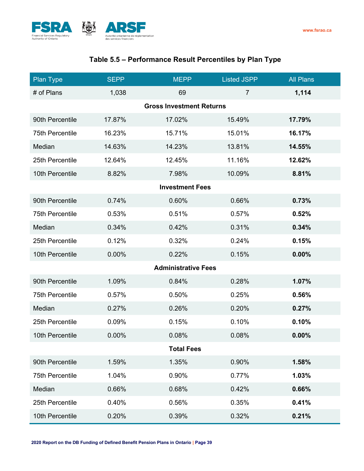

# **Table 5.5 – Performance Result Percentiles by Plan Type**

| <b>Plan Type</b>       | <b>SEPP</b> | <b>MEPP</b>                     | <b>Listed JSPP</b> | <b>All Plans</b> |
|------------------------|-------------|---------------------------------|--------------------|------------------|
| # of Plans             | 1,038       | 69                              | $\overline{7}$     | 1,114            |
|                        |             | <b>Gross Investment Returns</b> |                    |                  |
| 90th Percentile        | 17.87%      | 17.02%                          | 15.49%             | 17.79%           |
| <b>75th Percentile</b> | 16.23%      | 15.71%                          | 15.01%             | 16.17%           |
| Median                 | 14.63%      | 14.23%                          | 13.81%             | 14.55%           |
| 25th Percentile        | 12.64%      | 12.45%                          | 11.16%             | 12.62%           |
| 10th Percentile        | 8.82%       | 7.98%                           | 10.09%             | 8.81%            |
|                        |             | <b>Investment Fees</b>          |                    |                  |
| 90th Percentile        | 0.74%       | 0.60%                           | 0.66%              | 0.73%            |
| <b>75th Percentile</b> | 0.53%       | 0.51%                           | 0.57%              | 0.52%            |
| Median                 | 0.34%       | 0.42%                           | 0.31%              | 0.34%            |
| 25th Percentile        | 0.12%       | 0.32%                           | 0.24%              | 0.15%            |
| 10th Percentile        | 0.00%       | 0.22%                           | 0.15%              | 0.00%            |
|                        |             | <b>Administrative Fees</b>      |                    |                  |
| 90th Percentile        | 1.09%       | 0.84%                           | 0.28%              | 1.07%            |
| <b>75th Percentile</b> | 0.57%       | 0.50%                           | 0.25%              | 0.56%            |
| Median                 | 0.27%       | 0.26%                           | 0.20%              | 0.27%            |
| 25th Percentile        | 0.09%       | 0.15%                           | 0.10%              | 0.10%            |
| 10th Percentile        | 0.00%       | 0.08%                           | 0.08%              | 0.00%            |
|                        |             | <b>Total Fees</b>               |                    |                  |
| 90th Percentile        | 1.59%       | 1.35%                           | 0.90%              | 1.58%            |
| 75th Percentile        | 1.04%       | 0.90%                           | 0.77%              | 1.03%            |
| Median                 | 0.66%       | 0.68%                           | 0.42%              | 0.66%            |
| 25th Percentile        | 0.40%       | 0.56%                           | 0.35%              | 0.41%            |
| 10th Percentile        | 0.20%       | 0.39%                           | 0.32%              | 0.21%            |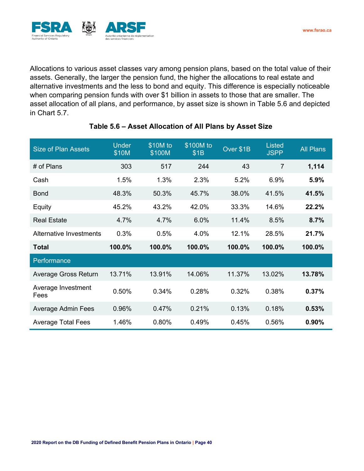

Allocations to various asset classes vary among pension plans, based on the total value of their assets. Generally, the larger the pension fund, the higher the allocations to real estate and alternative investments and the less to bond and equity. This difference is especially noticeable when comparing pension funds with over \$1 billion in assets to those that are smaller. The asset allocation of all plans, and performance, by asset size is shown in Table 5.6 and depicted in Chart 5.7.

| <b>Size of Plan Assets</b>     | <b>Under</b><br>\$10M | \$10M to<br>\$100M | \$100M to<br>\$1B | Over \$1B | <b>Listed</b><br><b>JSPP</b> | <b>All Plans</b> |
|--------------------------------|-----------------------|--------------------|-------------------|-----------|------------------------------|------------------|
| # of Plans                     | 303                   | 517                | 244               | 43        | $\overline{7}$               | 1,114            |
| Cash                           | 1.5%                  | 1.3%               | 2.3%              | 5.2%      | 6.9%                         | 5.9%             |
| Bond                           | 48.3%                 | 50.3%              | 45.7%             | 38.0%     | 41.5%                        | 41.5%            |
| Equity                         | 45.2%                 | 43.2%              | 42.0%             | 33.3%     | 14.6%                        | 22.2%            |
| <b>Real Estate</b>             | 4.7%                  | 4.7%               | 6.0%              | 11.4%     | 8.5%                         | 8.7%             |
| <b>Alternative Investments</b> | 0.3%                  | 0.5%               | 4.0%              | 12.1%     | 28.5%                        | 21.7%            |
| <b>Total</b>                   | 100.0%                | 100.0%             | 100.0%            | 100.0%    | 100.0%                       | 100.0%           |
| Performance                    |                       |                    |                   |           |                              |                  |
| Average Gross Return           | 13.71%                | 13.91%             | 14.06%            | 11.37%    | 13.02%                       | 13.78%           |
| Average Investment<br>Fees     | 0.50%                 | 0.34%              | 0.28%             | 0.32%     | 0.38%                        | 0.37%            |
| <b>Average Admin Fees</b>      | 0.96%                 | 0.47%              | 0.21%             | 0.13%     | 0.18%                        | 0.53%            |
| <b>Average Total Fees</b>      | 1.46%                 | 0.80%              | 0.49%             | 0.45%     | 0.56%                        | 0.90%            |

## **Table 5.6 – Asset Allocation of All Plans by Asset Size**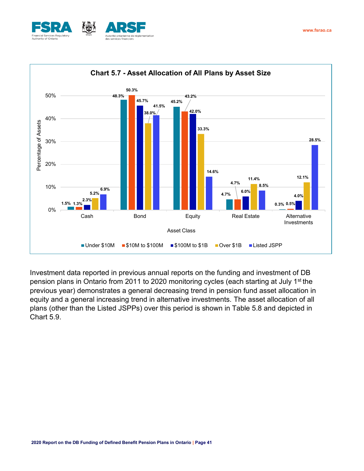



Investment data reported in previous annual reports on the funding and investment of DB pension plans in Ontario from 2011 to 2020 monitoring cycles (each starting at July 1<sup>st</sup> the previous year) demonstrates a general decreasing trend in pension fund asset allocation in equity and a general increasing trend in alternative investments. The asset allocation of all plans (other than the Listed JSPPs) over this period is shown in Table 5.8 and depicted in Chart 5.9.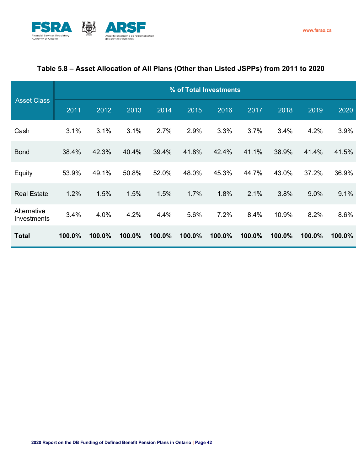

## **Table 5.8 – Asset Allocation of All Plans (Other than Listed JSPPs) from 2011 to 2020**

|                            |        | % of Total Investments |        |        |        |        |        |        |        |        |
|----------------------------|--------|------------------------|--------|--------|--------|--------|--------|--------|--------|--------|
| <b>Asset Class</b>         | 2011   | 2012                   | 2013   | 2014   | 2015   | 2016   | 2017   | 2018   | 2019   | 2020   |
| Cash                       | 3.1%   | 3.1%                   | 3.1%   | 2.7%   | 2.9%   | 3.3%   | 3.7%   | 3.4%   | 4.2%   | 3.9%   |
| <b>Bond</b>                | 38.4%  | 42.3%                  | 40.4%  | 39.4%  | 41.8%  | 42.4%  | 41.1%  | 38.9%  | 41.4%  | 41.5%  |
| Equity                     | 53.9%  | 49.1%                  | 50.8%  | 52.0%  | 48.0%  | 45.3%  | 44.7%  | 43.0%  | 37.2%  | 36.9%  |
| <b>Real Estate</b>         | 1.2%   | 1.5%                   | 1.5%   | 1.5%   | 1.7%   | 1.8%   | 2.1%   | 3.8%   | 9.0%   | 9.1%   |
| Alternative<br>Investments | 3.4%   | 4.0%                   | 4.2%   | 4.4%   | 5.6%   | 7.2%   | 8.4%   | 10.9%  | 8.2%   | 8.6%   |
| <b>Total</b>               | 100.0% | 100.0%                 | 100.0% | 100.0% | 100.0% | 100.0% | 100.0% | 100.0% | 100.0% | 100.0% |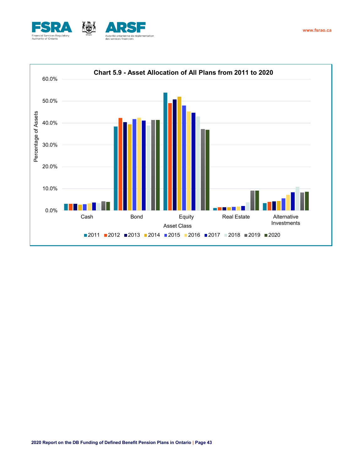

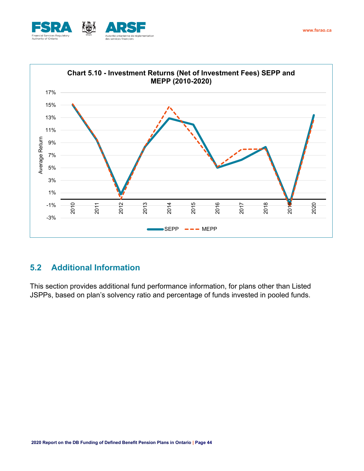



# <span id="page-43-0"></span>**5.2 Additional Information**

This section provides additional fund performance information, for plans other than Listed JSPPs, based on plan's solvency ratio and percentage of funds invested in pooled funds.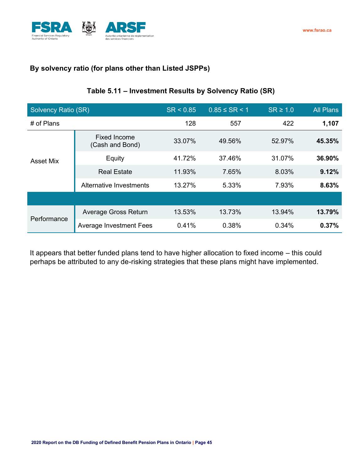

## <span id="page-44-0"></span>**By solvency ratio (for plans other than Listed JSPPs)**

### **Table 5.11 – Investment Results by Solvency Ratio (SR)**

| <b>Solvency Ratio (SR)</b> |                                        | SR < 0.85 | $0.85 \leq S$ R < 1 | $SR \geq 1.0$ | <b>All Plans</b> |
|----------------------------|----------------------------------------|-----------|---------------------|---------------|------------------|
| # of Plans                 |                                        | 128       | 557                 | 422           | 1,107            |
|                            | <b>Fixed Income</b><br>(Cash and Bond) | 33.07%    | 49.56%              | 52.97%        | 45.35%           |
| <b>Asset Mix</b>           | Equity                                 | 41.72%    | 37.46%              | 31.07%        | 36.90%           |
|                            | <b>Real Estate</b>                     | 11.93%    | 7.65%               | 8.03%         | 9.12%            |
|                            | Alternative Investments                | 13.27%    | 5.33%               | 7.93%         | 8.63%            |
|                            |                                        |           |                     |               |                  |
| Performance                | Average Gross Return                   | 13.53%    | 13.73%              | 13.94%        | 13.79%           |
|                            | <b>Average Investment Fees</b>         | 0.41%     | 0.38%               | 0.34%         | 0.37%            |

It appears that better funded plans tend to have higher allocation to fixed income – this could perhaps be attributed to any de-risking strategies that these plans might have implemented.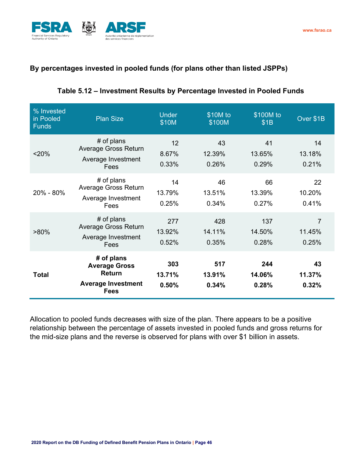



## <span id="page-45-0"></span>**By percentages invested in pooled funds (for plans other than listed JSPPs)**

| % Invested<br>in Pooled<br><b>Funds</b> | <b>Plan Size</b>                                                                                | <b>Under</b><br>\$10M  | \$10M to<br>\$100M     | \$100M to<br>\$1B      | Over \$1B                         |
|-----------------------------------------|-------------------------------------------------------------------------------------------------|------------------------|------------------------|------------------------|-----------------------------------|
| < 20%                                   | # of plans<br><b>Average Gross Return</b><br>Average Investment<br>Fees                         | 12<br>8.67%<br>0.33%   | 43<br>12.39%<br>0.26%  | 41<br>13.65%<br>0.29%  | 14<br>13.18%<br>0.21%             |
| 20% - 80%                               | # of plans<br><b>Average Gross Return</b><br>Average Investment<br>Fees                         | 14<br>13.79%<br>0.25%  | 46<br>13.51%<br>0.34%  | 66<br>13.39%<br>0.27%  | 22<br>10.20%<br>0.41%             |
| $>80\%$                                 | # of plans<br>Average Gross Return<br>Average Investment<br>Fees                                | 277<br>13.92%<br>0.52% | 428<br>14.11%<br>0.35% | 137<br>14.50%<br>0.28% | $\overline{7}$<br>11.45%<br>0.25% |
| <b>Total</b>                            | # of plans<br><b>Average Gross</b><br><b>Return</b><br><b>Average Investment</b><br><b>Fees</b> | 303<br>13.71%<br>0.50% | 517<br>13.91%<br>0.34% | 244<br>14.06%<br>0.28% | 43<br>11.37%<br>0.32%             |

### **Table 5.12 – Investment Results by Percentage Invested in Pooled Funds**

Allocation to pooled funds decreases with size of the plan. There appears to be a positive relationship between the percentage of assets invested in pooled funds and gross returns for the mid-size plans and the reverse is observed for plans with over \$1 billion in assets.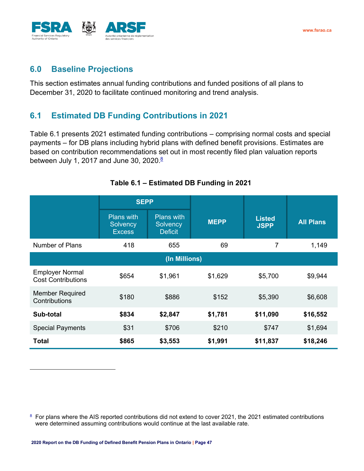

# <span id="page-46-0"></span>**6.0 Baseline Projections**

This section estimates annual funding contributions and funded positions of all plans to December 31, 2020 to facilitate continued monitoring and trend analysis.

# <span id="page-46-1"></span>**6.1 Estimated DB Funding Contributions in 2021**

Table 6.1 presents 2021 estimated funding contributions – comprising normal costs and special payments – for DB plans including hybrid plans with defined benefit provisions. Estimates are based on contribution recommendations set out in most recently filed plan valuation reports between July 1, 2017 and June 30, 2020.<sup><u>8</u></sup>

|                                                     | <b>SEPP</b>                                    |                                                 |             |                              |                  |
|-----------------------------------------------------|------------------------------------------------|-------------------------------------------------|-------------|------------------------------|------------------|
|                                                     | <b>Plans with</b><br>Solvency<br><b>Excess</b> | <b>Plans with</b><br>Solvency<br><b>Deficit</b> | <b>MEPP</b> | <b>Listed</b><br><b>JSPP</b> | <b>All Plans</b> |
| Number of Plans                                     | 418                                            | 655                                             | 69          | 7                            | 1,149            |
|                                                     |                                                | (In Millions)                                   |             |                              |                  |
| <b>Employer Normal</b><br><b>Cost Contributions</b> | \$654                                          | \$1,961                                         | \$1,629     | \$5,700                      | \$9,944          |
| <b>Member Required</b><br>Contributions             | \$180                                          | \$886                                           | \$152       | \$5,390                      | \$6,608          |
| Sub-total                                           | \$834                                          | \$2,847                                         | \$1,781     | \$11,090                     | \$16,552         |
| <b>Special Payments</b>                             | \$31                                           | \$706                                           | \$210       | \$747                        | \$1,694          |
| <b>Total</b>                                        | \$865                                          | \$3,553                                         | \$1,991     | \$11,837                     | \$18,246         |

#### **Table 6.1 – Estimated DB Funding in 2021**

<sup>8</sup> For plans where the AIS reported contributions did not extend to cover 2021, the 2021 estimated contributions were determined assuming contributions would continue at the last available rate.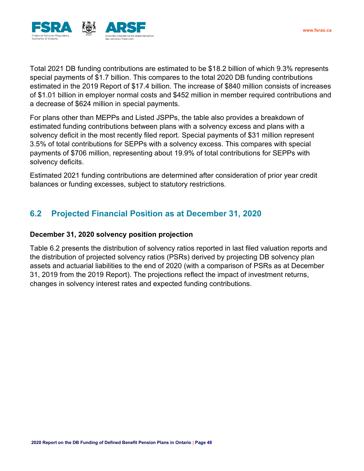

Total 2021 DB funding contributions are estimated to be \$18.2 billion of which 9.3% represents special payments of \$1.7 billion. This compares to the total 2020 DB funding contributions estimated in the 2019 Report of \$17.4 billion. The increase of \$840 million consists of increases of \$1.01 billion in employer normal costs and \$452 million in member required contributions and a decrease of \$624 million in special payments.

For plans other than MEPPs and Listed JSPPs, the table also provides a breakdown of estimated funding contributions between plans with a solvency excess and plans with a solvency deficit in the most recently filed report. Special payments of \$31 million represent 3.5% of total contributions for SEPPs with a solvency excess. This compares with special payments of \$706 million, representing about 19.9% of total contributions for SEPPs with solvency deficits.

Estimated 2021 funding contributions are determined after consideration of prior year credit balances or funding excesses, subject to statutory restrictions.

# <span id="page-47-0"></span>**6.2 Projected Financial Position as at December 31, 2020**

#### <span id="page-47-1"></span>**December 31, 2020 solvency position projection**

Table 6.2 presents the distribution of solvency ratios reported in last filed valuation reports and the distribution of projected solvency ratios (PSRs) derived by projecting DB solvency plan assets and actuarial liabilities to the end of 2020 (with a comparison of PSRs as at December 31, 2019 from the 2019 Report). The projections reflect the impact of investment returns, changes in solvency interest rates and expected funding contributions.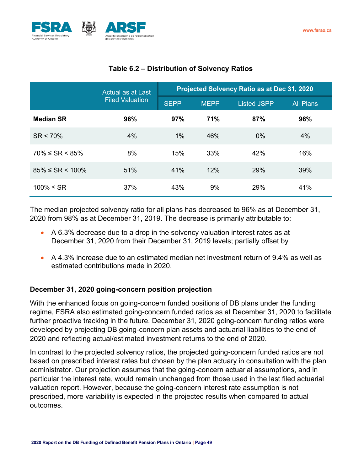

|                          | Actual as at Last      | Projected Solvency Ratio as at Dec 31, 2020 |             |                    |                  |  |  |
|--------------------------|------------------------|---------------------------------------------|-------------|--------------------|------------------|--|--|
|                          | <b>Filed Valuation</b> | <b>SEPP</b>                                 | <b>MEPP</b> | <b>Listed JSPP</b> | <b>All Plans</b> |  |  |
| <b>Median SR</b>         | 96%                    | 97%                                         | 71%         | 87%                | 96%              |  |  |
| $SR < 70\%$              | 4%                     | $1\%$                                       | 46%         | $0\%$              | 4%               |  |  |
| $70\% \leq SR \leq 85\%$ | 8%                     | 15%                                         | 33%         | 42%                | 16%              |  |  |
| $85\% \leq SR < 100\%$   | 51%                    | 41%                                         | 12%         | 29%                | 39%              |  |  |
| $100%$ ≤ SR              | 37%                    | 43%                                         | 9%          | 29%                | 41%              |  |  |

## **Table 6.2 – Distribution of Solvency Ratios**

The median projected solvency ratio for all plans has decreased to 96% as at December 31, 2020 from 98% as at December 31, 2019. The decrease is primarily attributable to:

- A 6.3% decrease due to a drop in the solvency valuation interest rates as at December 31, 2020 from their December 31, 2019 levels; partially offset by
- A 4.3% increase due to an estimated median net investment return of 9.4% as well as estimated contributions made in 2020.

## <span id="page-48-0"></span>**December 31, 2020 going-concern position projection**

With the enhanced focus on going-concern funded positions of DB plans under the funding regime, FSRA also estimated going-concern funded ratios as at December 31, 2020 to facilitate further proactive tracking in the future. December 31, 2020 going-concern funding ratios were developed by projecting DB going-concern plan assets and actuarial liabilities to the end of 2020 and reflecting actual/estimated investment returns to the end of 2020.

In contrast to the projected solvency ratios, the projected going-concern funded ratios are not based on prescribed interest rates but chosen by the plan actuary in consultation with the plan administrator. Our projection assumes that the going-concern actuarial assumptions, and in particular the interest rate, would remain unchanged from those used in the last filed actuarial valuation report. However, because the going-concern interest rate assumption is not prescribed, more variability is expected in the projected results when compared to actual outcomes.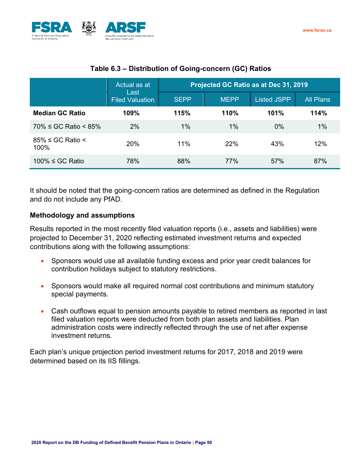

|                                     | Actual as at                   | Projected GC Ratio as at Dec 31, 2019 |             |                    |                  |  |  |
|-------------------------------------|--------------------------------|---------------------------------------|-------------|--------------------|------------------|--|--|
|                                     | Last<br><b>Filed Valuation</b> | <b>SEPP</b>                           | <b>MEPP</b> | <b>Listed JSPP</b> | <b>All Plans</b> |  |  |
| <b>Median GC Ratio</b>              | 109%                           | 115%                                  | 110%        | 101%               | 114%             |  |  |
| $70\% \leq G$ C Ratio < 85%         | 2%                             | 1%                                    | $1\%$       | 0%                 | $1\%$            |  |  |
| $85\% \leq$ GC Ratio $\leq$<br>100% | 20%                            | 11%                                   | 22%         | 43%                | 12%              |  |  |
| $100\% \leq$ GC Ratio               | 78%                            | 88%                                   | 77%         | 57%                | 87%              |  |  |

## **Table 6.3 – Distribution of Going-concern (GC) Ratios**

It should be noted that the going-concern ratios are determined as defined in the Regulation and do not include any PfAD.

## <span id="page-49-0"></span>**Methodology and assumptions**

Results reported in the most recently filed valuation reports (i.e., assets and liabilities) were projected to December 31, 2020 reflecting estimated investment returns and expected contributions along with the following assumptions:

- Sponsors would use all available funding excess and prior year credit balances for contribution holidays subject to statutory restrictions.
- Sponsors would make all required normal cost contributions and minimum statutory special payments.
- Cash outflows equal to pension amounts payable to retired members as reported in last filed valuation reports were deducted from both plan assets and liabilities. Plan administration costs were indirectly reflected through the use of net after expense investment returns.

Each plan's unique projection period investment returns for 2017, 2018 and 2019 were determined based on its IIS fillings.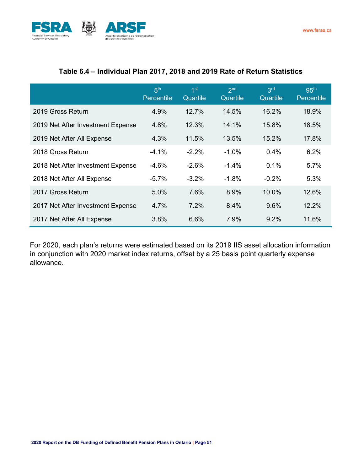

#### **Table 6.4 – Individual Plan 2017, 2018 and 2019 Rate of Return Statistics**

|                                   | 5 <sup>th</sup><br>Percentile | 1 <sup>st</sup><br>Quartile | 2 <sub>nd</sub><br>Quartile | 3 <sup>rd</sup><br>Quartile | 95 <sup>th</sup><br>Percentile |
|-----------------------------------|-------------------------------|-----------------------------|-----------------------------|-----------------------------|--------------------------------|
| 2019 Gross Return                 | 4.9%                          | 12.7%                       | 14.5%                       | 16.2%                       | 18.9%                          |
| 2019 Net After Investment Expense | 4.8%                          | 12.3%                       | 14.1%                       | 15.8%                       | 18.5%                          |
| 2019 Net After All Expense        | 4.3%                          | 11.5%                       | 13.5%                       | 15.2%                       | 17.8%                          |
| 2018 Gross Return                 | $-4.1%$                       | $-2.2%$                     | $-1.0%$                     | 0.4%                        | 6.2%                           |
| 2018 Net After Investment Expense | $-4.6%$                       | $-2.6%$                     | $-1.4%$                     | 0.1%                        | 5.7%                           |
| 2018 Net After All Expense        | $-5.7%$                       | $-3.2%$                     | $-1.8%$                     | $-0.2%$                     | 5.3%                           |
| 2017 Gross Return                 | 5.0%                          | 7.6%                        | 8.9%                        | 10.0%                       | 12.6%                          |
| 2017 Net After Investment Expense | 4.7%                          | 7.2%                        | 8.4%                        | 9.6%                        | 12.2%                          |
| 2017 Net After All Expense        | 3.8%                          | 6.6%                        | 7.9%                        | 9.2%                        | 11.6%                          |

For 2020, each plan's returns were estimated based on its 2019 IIS asset allocation information in conjunction with 2020 market index returns, offset by a 25 basis point quarterly expense allowance.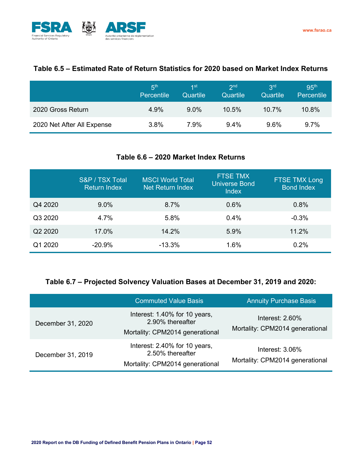

#### **Table 6.5 – Estimated Rate of Return Statistics for 2020 based on Market Index Returns**

|                            | <b>片</b><br>Percentile | 1st<br>Quartile | 2 <sub>nd</sub><br>Quartile | 3 <sup>rd</sup><br>Quartile | 95 <sup>th</sup><br>Percentile |
|----------------------------|------------------------|-----------------|-----------------------------|-----------------------------|--------------------------------|
| 2020 Gross Return          | $4.9\%$                | $9.0\%$         | 10.5%                       | $10.7\%$                    | 10.8%                          |
| 2020 Net After All Expense | 3.8%                   | 7.9%            | 9.4%                        | $9.6\%$                     | $9.7\%$                        |

#### **Table 6.6 – 2020 Market Index Returns**

|         | S&P / TSX Total<br><b>Return Index</b> | <b>MSCI World Total</b><br>Net Return Index | <b>FTSE TMX</b><br><b>Universe Bond</b><br><b>Index</b> | <b>FTSE TMX Long</b><br><b>Bond Index</b> |
|---------|----------------------------------------|---------------------------------------------|---------------------------------------------------------|-------------------------------------------|
| Q4 2020 | 9.0%                                   | 8.7%                                        | 0.6%                                                    | 0.8%                                      |
| Q3 2020 | 4.7%                                   | 5.8%                                        | 0.4%                                                    | $-0.3%$                                   |
| Q2 2020 | 17.0%                                  | 14.2%                                       | 5.9%                                                    | 11.2%                                     |
| Q1 2020 | $-20.9%$                               | $-13.3%$                                    | 1.6%                                                    | 0.2%                                      |

## **Table 6.7 – Projected Solvency Valuation Bases at December 31, 2019 and 2020:**

|                   | <b>Commuted Value Basis</b>                                                          | <b>Annuity Purchase Basis</b>                         |
|-------------------|--------------------------------------------------------------------------------------|-------------------------------------------------------|
| December 31, 2020 | Interest: 1.40% for 10 years,<br>2.90% thereafter<br>Mortality: CPM2014 generational | Interest: $2.60\%$<br>Mortality: CPM2014 generational |
| December 31, 2019 | Interest: 2.40% for 10 years,<br>2.50% thereafter<br>Mortality: CPM2014 generational | Interest: $3.06\%$<br>Mortality: CPM2014 generational |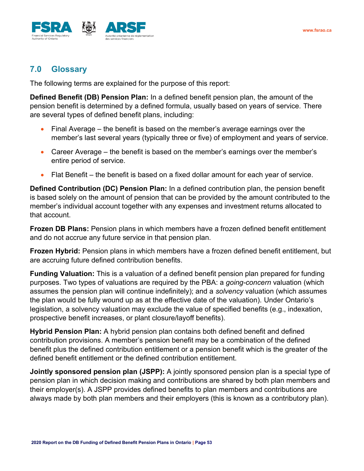

# <span id="page-52-0"></span>**7.0 Glossary**

The following terms are explained for the purpose of this report:

**Defined Benefit (DB) Pension Plan:** In a defined benefit pension plan, the amount of the pension benefit is determined by a defined formula, usually based on years of service. There are several types of defined benefit plans, including:

- Final Average the benefit is based on the member's average earnings over the member's last several years (typically three or five) of employment and years of service.
- Career Average the benefit is based on the member's earnings over the member's entire period of service.
- Flat Benefit the benefit is based on a fixed dollar amount for each year of service.

**Defined Contribution (DC) Pension Plan:** In a defined contribution plan, the pension benefit is based solely on the amount of pension that can be provided by the amount contributed to the member's individual account together with any expenses and investment returns allocated to that account.

**Frozen DB Plans:** Pension plans in which members have a frozen defined benefit entitlement and do not accrue any future service in that pension plan.

**Frozen Hybrid:** Pension plans in which members have a frozen defined benefit entitlement, but are accruing future defined contribution benefits.

**Funding Valuation:** This is a valuation of a defined benefit pension plan prepared for funding purposes. Two types of valuations are required by the PBA: a *going-concern* valuation (which assumes the pension plan will continue indefinitely); and a *solvency* valuation (which assumes the plan would be fully wound up as at the effective date of the valuation). Under Ontario's legislation, a solvency valuation may exclude the value of specified benefits (e.g., indexation, prospective benefit increases, or plant closure/layoff benefits).

**Hybrid Pension Plan:** A hybrid pension plan contains both defined benefit and defined contribution provisions. A member's pension benefit may be a combination of the defined benefit plus the defined contribution entitlement or a pension benefit which is the greater of the defined benefit entitlement or the defined contribution entitlement.

**Jointly sponsored pension plan (JSPP):** A jointly sponsored pension plan is a special type of pension plan in which decision making and contributions are shared by both plan members and their employer(s). A JSPP provides [defined benefits](http://www.fsco.gov.on.ca/en/pensions/pension-plan-guide/Pages/HRPPW-Types-of-Registered-Pension-Plans-and-Benefits.html#defined-benefits) to plan members and contributions are always made by both [plan members](http://www.fsco.gov.on.ca/en/pensions/pension-plan-guide/Pages/Glossary.html#member) and their employers (this is known as a [contributory plan\)](http://www.fsco.gov.on.ca/en/pensions/pension-plan-guide/Pages/Glossary.html#contributory-plan).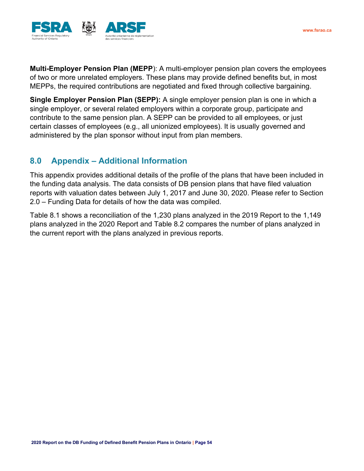

**Multi-Employer Pension Plan (MEPP**): A multi-employer pension plan covers the employees of two or more unrelated employers. These plans may provide defined benefits but, in most MEPPs, the required contributions are negotiated and fixed through collective bargaining.

**Single Employer Pension Plan (SEPP):** A single employer pension plan is one in which a single employer, or several related employers within a corporate group, participate and contribute to the same pension plan. A SEPP can be provided to all employees, or just certain [classes of employees](http://www.fsco.gov.on.ca/en/pensions/pension-plan-guide/Pages/Glossary.html#coe) (e.g., all unionized employees). It is usually governed and administered by the [plan sponsor](http://www.fsco.gov.on.ca/en/pensions/pension-plan-guide/Pages/Glossary.html#plan-sponsor) without input from [plan members.](http://www.fsco.gov.on.ca/en/pensions/pension-plan-guide/Pages/Glossary.html#member)

# <span id="page-53-0"></span>**8.0 Appendix – Additional Information**

This appendix provides additional details of the profile of the plans that have been included in the funding data analysis. The data consists of DB pension plans that have filed valuation reports with valuation dates between July 1, 2017 and June 30, 2020. Please refer to Section 2.0 – Funding Data for details of how the data was compiled.

Table 8.1 shows a reconciliation of the 1,230 plans analyzed in the 2019 Report to the 1,149 plans analyzed in the 2020 Report and Table 8.2 compares the number of plans analyzed in the current report with the plans analyzed in previous reports.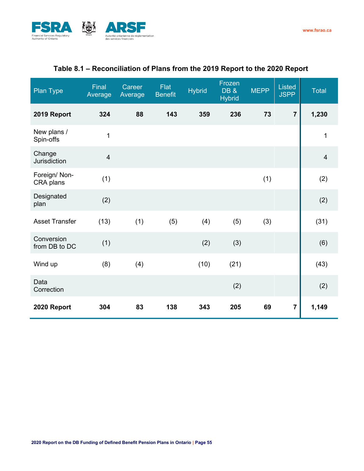

# **Table 8.1 – Reconciliation of Plans from the 2019 Report to the 2020 Report**

| Plan Type                   | <b>Final</b><br>Average | Career<br>Average | Flat<br><b>Benefit</b> | <b>Hybrid</b> | Frozen<br>DB&<br><b>Hybrid</b> | <b>MEPP</b> | <b>Listed</b><br><b>JSPP</b> | <b>Total</b>   |
|-----------------------------|-------------------------|-------------------|------------------------|---------------|--------------------------------|-------------|------------------------------|----------------|
| 2019 Report                 | 324                     | 88                | 143                    | 359           | 236                            | 73          | $\overline{7}$               | 1,230          |
| New plans /<br>Spin-offs    | $\mathbf{1}$            |                   |                        |               |                                |             |                              | $\mathbf 1$    |
| Change<br>Jurisdiction      | $\overline{4}$          |                   |                        |               |                                |             |                              | $\overline{4}$ |
| Foreign/ Non-<br>CRA plans  | (1)                     |                   |                        |               |                                | (1)         |                              | (2)            |
| Designated<br>plan          | (2)                     |                   |                        |               |                                |             |                              | (2)            |
| <b>Asset Transfer</b>       | (13)                    | (1)               | (5)                    | (4)           | (5)                            | (3)         |                              | (31)           |
| Conversion<br>from DB to DC | (1)                     |                   |                        | (2)           | (3)                            |             |                              | (6)            |
| Wind up                     | (8)                     | (4)               |                        | (10)          | (21)                           |             |                              | (43)           |
| Data<br>Correction          |                         |                   |                        |               | (2)                            |             |                              | (2)            |
| 2020 Report                 | 304                     | 83                | 138                    | 343           | 205                            | 69          | $\overline{7}$               | 1,149          |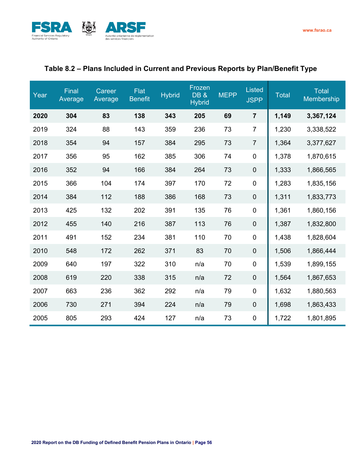

## **Table 8.2 – Plans Included in Current and Previous Reports by Plan/Benefit Type**

| Year | Final<br>Average | Career<br>Average | <b>Flat</b><br>Benefit | <b>Hybrid</b> | Frozen<br><b>DB &amp;</b><br><b>Hybrid</b> | <b>MEPP</b> | <b>Listed</b><br><b>JSPP</b> | <b>Total</b> | <b>Total</b><br>Membership |
|------|------------------|-------------------|------------------------|---------------|--------------------------------------------|-------------|------------------------------|--------------|----------------------------|
| 2020 | 304              | 83                | 138                    | 343           | 205                                        | 69          | $\overline{7}$               | 1,149        | 3,367,124                  |
| 2019 | 324              | 88                | 143                    | 359           | 236                                        | 73          | $\overline{7}$               | 1,230        | 3,338,522                  |
| 2018 | 354              | 94                | 157                    | 384           | 295                                        | 73          | $\overline{7}$               | 1,364        | 3,377,627                  |
| 2017 | 356              | 95                | 162                    | 385           | 306                                        | 74          | $\mathbf 0$                  | 1,378        | 1,870,615                  |
| 2016 | 352              | 94                | 166                    | 384           | 264                                        | 73          | $\mathbf 0$                  | 1,333        | 1,866,565                  |
| 2015 | 366              | 104               | 174                    | 397           | 170                                        | 72          | $\mathbf 0$                  | 1,283        | 1,835,156                  |
| 2014 | 384              | 112               | 188                    | 386           | 168                                        | 73          | $\boldsymbol{0}$             | 1,311        | 1,833,773                  |
| 2013 | 425              | 132               | 202                    | 391           | 135                                        | 76          | $\boldsymbol{0}$             | 1,361        | 1,860,156                  |
| 2012 | 455              | 140               | 216                    | 387           | 113                                        | 76          | $\mathbf 0$                  | 1,387        | 1,832,800                  |
| 2011 | 491              | 152               | 234                    | 381           | 110                                        | 70          | $\boldsymbol{0}$             | 1,438        | 1,828,604                  |
| 2010 | 548              | 172               | 262                    | 371           | 83                                         | 70          | $\boldsymbol{0}$             | 1,506        | 1,866,444                  |
| 2009 | 640              | 197               | 322                    | 310           | n/a                                        | 70          | $\boldsymbol{0}$             | 1,539        | 1,899,155                  |
| 2008 | 619              | 220               | 338                    | 315           | n/a                                        | 72          | $\mathbf 0$                  | 1,564        | 1,867,653                  |
| 2007 | 663              | 236               | 362                    | 292           | n/a                                        | 79          | $\mathbf 0$                  | 1,632        | 1,880,563                  |
| 2006 | 730              | 271               | 394                    | 224           | n/a                                        | 79          | $\mathbf 0$                  | 1,698        | 1,863,433                  |
| 2005 | 805              | 293               | 424                    | 127           | n/a                                        | 73          | $\boldsymbol{0}$             | 1,722        | 1,801,895                  |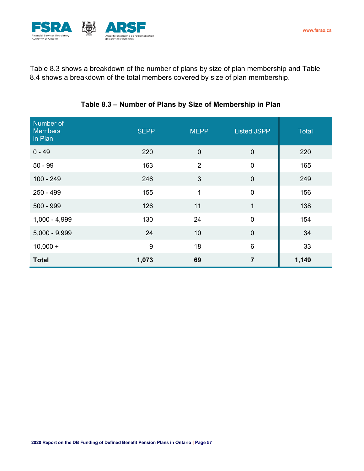

Table 8.3 shows a breakdown of the number of plans by size of plan membership and Table 8.4 shows a breakdown of the total members covered by size of plan membership.

| Number of<br><b>Members</b><br>in Plan | <b>SEPP</b> | <b>MEPP</b>    | <b>Listed JSPP</b> | Total |
|----------------------------------------|-------------|----------------|--------------------|-------|
| $0 - 49$                               | 220         | $\mathbf 0$    | $\mathbf 0$        | 220   |
| $50 - 99$                              | 163         | $\overline{2}$ | $\mathbf 0$        | 165   |
| $100 - 249$                            | 246         | 3              | $\mathbf 0$        | 249   |
| 250 - 499                              | 155         | $\overline{1}$ | $\overline{0}$     | 156   |
| $500 - 999$                            | 126         | 11             | $\mathbf{1}$       | 138   |
| $1,000 - 4,999$                        | 130         | 24             | $\mathbf 0$        | 154   |
| $5,000 - 9,999$                        | 24          | 10             | $\mathbf 0$        | 34    |
| $10,000 +$                             | 9           | 18             | $6\phantom{1}$     | 33    |
| <b>Total</b>                           | 1,073       | 69             | $\overline{7}$     | 1,149 |

## **Table 8.3 – Number of Plans by Size of Membership in Plan**